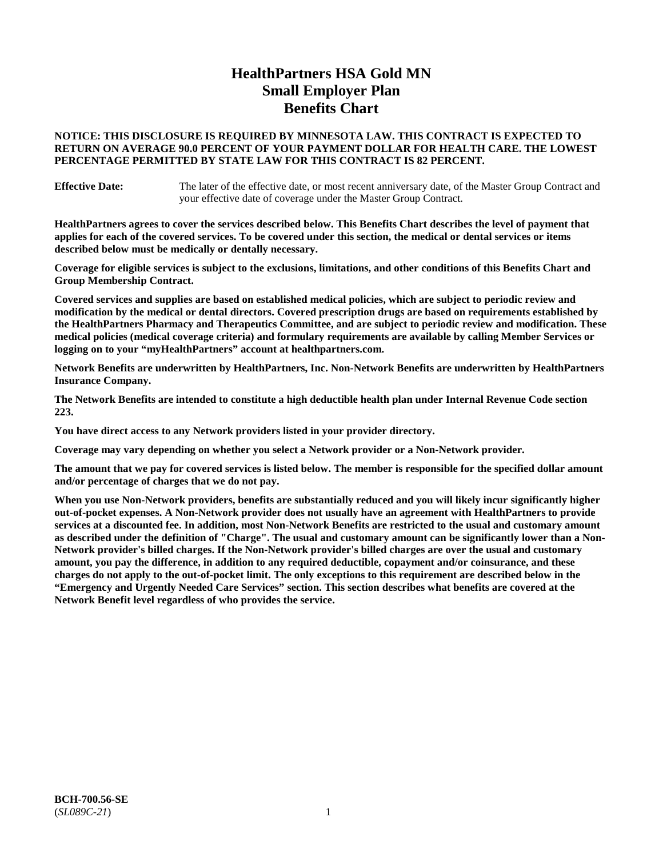# **HealthPartners HSA Gold MN Small Employer Plan Benefits Chart**

## **NOTICE: THIS DISCLOSURE IS REQUIRED BY MINNESOTA LAW. THIS CONTRACT IS EXPECTED TO RETURN ON AVERAGE 90.0 PERCENT OF YOUR PAYMENT DOLLAR FOR HEALTH CARE. THE LOWEST PERCENTAGE PERMITTED BY STATE LAW FOR THIS CONTRACT IS 82 PERCENT.**

**Effective Date:** The later of the effective date, or most recent anniversary date, of the Master Group Contract and your effective date of coverage under the Master Group Contract.

**HealthPartners agrees to cover the services described below. This Benefits Chart describes the level of payment that applies for each of the covered services. To be covered under this section, the medical or dental services or items described below must be medically or dentally necessary.**

**Coverage for eligible services is subject to the exclusions, limitations, and other conditions of this Benefits Chart and Group Membership Contract.**

**Covered services and supplies are based on established medical policies, which are subject to periodic review and modification by the medical or dental directors. Covered prescription drugs are based on requirements established by the HealthPartners Pharmacy and Therapeutics Committee, and are subject to periodic review and modification. These medical policies (medical coverage criteria) and formulary requirements are available by calling Member Services or logging on to your "myHealthPartners" account at [healthpartners.com.](https://www.healthpartners.com/hp/index.html)**

**Network Benefits are underwritten by HealthPartners, Inc. Non-Network Benefits are underwritten by HealthPartners Insurance Company.** 

**The Network Benefits are intended to constitute a high deductible health plan under Internal Revenue Code section 223.** 

**You have direct access to any Network providers listed in your provider directory.**

**Coverage may vary depending on whether you select a Network provider or a Non-Network provider.**

**The amount that we pay for covered services is listed below. The member is responsible for the specified dollar amount and/or percentage of charges that we do not pay.**

**When you use Non-Network providers, benefits are substantially reduced and you will likely incur significantly higher out-of-pocket expenses. A Non-Network provider does not usually have an agreement with HealthPartners to provide services at a discounted fee. In addition, most Non-Network Benefits are restricted to the usual and customary amount as described under the definition of "Charge". The usual and customary amount can be significantly lower than a Non-Network provider's billed charges. If the Non-Network provider's billed charges are over the usual and customary amount, you pay the difference, in addition to any required deductible, copayment and/or coinsurance, and these charges do not apply to the out-of-pocket limit. The only exceptions to this requirement are described below in the "Emergency and Urgently Needed Care Services" section. This section describes what benefits are covered at the Network Benefit level regardless of who provides the service.**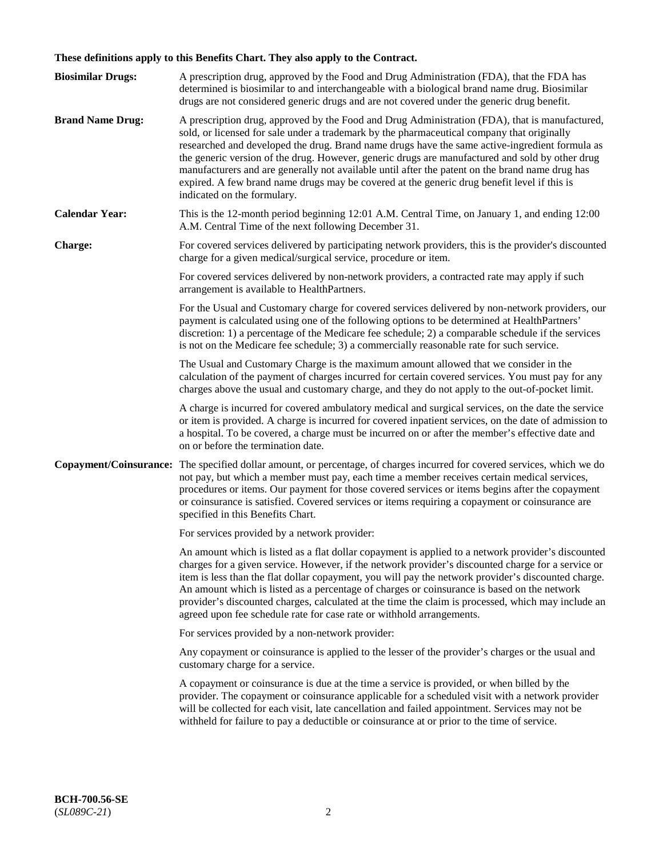# **These definitions apply to this Benefits Chart. They also apply to the Contract.**

| <b>Biosimilar Drugs:</b> | A prescription drug, approved by the Food and Drug Administration (FDA), that the FDA has<br>determined is biosimilar to and interchangeable with a biological brand name drug. Biosimilar<br>drugs are not considered generic drugs and are not covered under the generic drug benefit.                                                                                                                                                                                                                                                                                                                                           |
|--------------------------|------------------------------------------------------------------------------------------------------------------------------------------------------------------------------------------------------------------------------------------------------------------------------------------------------------------------------------------------------------------------------------------------------------------------------------------------------------------------------------------------------------------------------------------------------------------------------------------------------------------------------------|
| <b>Brand Name Drug:</b>  | A prescription drug, approved by the Food and Drug Administration (FDA), that is manufactured,<br>sold, or licensed for sale under a trademark by the pharmaceutical company that originally<br>researched and developed the drug. Brand name drugs have the same active-ingredient formula as<br>the generic version of the drug. However, generic drugs are manufactured and sold by other drug<br>manufacturers and are generally not available until after the patent on the brand name drug has<br>expired. A few brand name drugs may be covered at the generic drug benefit level if this is<br>indicated on the formulary. |
| <b>Calendar Year:</b>    | This is the 12-month period beginning 12:01 A.M. Central Time, on January 1, and ending 12:00<br>A.M. Central Time of the next following December 31.                                                                                                                                                                                                                                                                                                                                                                                                                                                                              |
| <b>Charge:</b>           | For covered services delivered by participating network providers, this is the provider's discounted<br>charge for a given medical/surgical service, procedure or item.                                                                                                                                                                                                                                                                                                                                                                                                                                                            |
|                          | For covered services delivered by non-network providers, a contracted rate may apply if such<br>arrangement is available to HealthPartners.                                                                                                                                                                                                                                                                                                                                                                                                                                                                                        |
|                          | For the Usual and Customary charge for covered services delivered by non-network providers, our<br>payment is calculated using one of the following options to be determined at HealthPartners'<br>discretion: 1) a percentage of the Medicare fee schedule; 2) a comparable schedule if the services<br>is not on the Medicare fee schedule; 3) a commercially reasonable rate for such service.                                                                                                                                                                                                                                  |
|                          | The Usual and Customary Charge is the maximum amount allowed that we consider in the<br>calculation of the payment of charges incurred for certain covered services. You must pay for any<br>charges above the usual and customary charge, and they do not apply to the out-of-pocket limit.                                                                                                                                                                                                                                                                                                                                       |
|                          | A charge is incurred for covered ambulatory medical and surgical services, on the date the service<br>or item is provided. A charge is incurred for covered inpatient services, on the date of admission to<br>a hospital. To be covered, a charge must be incurred on or after the member's effective date and<br>on or before the termination date.                                                                                                                                                                                                                                                                              |
| Copayment/Coinsurance:   | The specified dollar amount, or percentage, of charges incurred for covered services, which we do<br>not pay, but which a member must pay, each time a member receives certain medical services,<br>procedures or items. Our payment for those covered services or items begins after the copayment<br>or coinsurance is satisfied. Covered services or items requiring a copayment or coinsurance are<br>specified in this Benefits Chart.                                                                                                                                                                                        |
|                          | For services provided by a network provider:                                                                                                                                                                                                                                                                                                                                                                                                                                                                                                                                                                                       |
|                          | An amount which is listed as a flat dollar copayment is applied to a network provider's discounted<br>charges for a given service. However, if the network provider's discounted charge for a service or<br>item is less than the flat dollar copayment, you will pay the network provider's discounted charge.<br>An amount which is listed as a percentage of charges or coinsurance is based on the network<br>provider's discounted charges, calculated at the time the claim is processed, which may include an<br>agreed upon fee schedule rate for case rate or withhold arrangements.                                      |
|                          | For services provided by a non-network provider:                                                                                                                                                                                                                                                                                                                                                                                                                                                                                                                                                                                   |
|                          | Any copayment or coinsurance is applied to the lesser of the provider's charges or the usual and<br>customary charge for a service.                                                                                                                                                                                                                                                                                                                                                                                                                                                                                                |
|                          | A copayment or coinsurance is due at the time a service is provided, or when billed by the<br>provider. The copayment or coinsurance applicable for a scheduled visit with a network provider<br>will be collected for each visit, late cancellation and failed appointment. Services may not be<br>withheld for failure to pay a deductible or coinsurance at or prior to the time of service.                                                                                                                                                                                                                                    |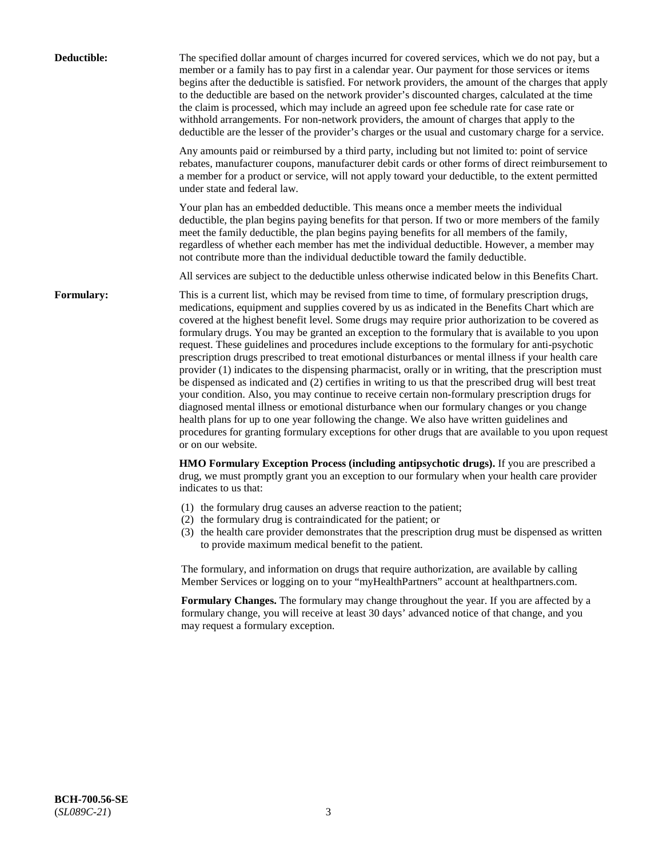| Deductible:       | The specified dollar amount of charges incurred for covered services, which we do not pay, but a<br>member or a family has to pay first in a calendar year. Our payment for those services or items<br>begins after the deductible is satisfied. For network providers, the amount of the charges that apply<br>to the deductible are based on the network provider's discounted charges, calculated at the time<br>the claim is processed, which may include an agreed upon fee schedule rate for case rate or<br>withhold arrangements. For non-network providers, the amount of charges that apply to the<br>deductible are the lesser of the provider's charges or the usual and customary charge for a service.                                                                                                                                                                                                                                                                                                                                                                                                                                                                                                                                             |
|-------------------|------------------------------------------------------------------------------------------------------------------------------------------------------------------------------------------------------------------------------------------------------------------------------------------------------------------------------------------------------------------------------------------------------------------------------------------------------------------------------------------------------------------------------------------------------------------------------------------------------------------------------------------------------------------------------------------------------------------------------------------------------------------------------------------------------------------------------------------------------------------------------------------------------------------------------------------------------------------------------------------------------------------------------------------------------------------------------------------------------------------------------------------------------------------------------------------------------------------------------------------------------------------|
|                   | Any amounts paid or reimbursed by a third party, including but not limited to: point of service<br>rebates, manufacturer coupons, manufacturer debit cards or other forms of direct reimbursement to<br>a member for a product or service, will not apply toward your deductible, to the extent permitted<br>under state and federal law.                                                                                                                                                                                                                                                                                                                                                                                                                                                                                                                                                                                                                                                                                                                                                                                                                                                                                                                        |
|                   | Your plan has an embedded deductible. This means once a member meets the individual<br>deductible, the plan begins paying benefits for that person. If two or more members of the family<br>meet the family deductible, the plan begins paying benefits for all members of the family,<br>regardless of whether each member has met the individual deductible. However, a member may<br>not contribute more than the individual deductible toward the family deductible.                                                                                                                                                                                                                                                                                                                                                                                                                                                                                                                                                                                                                                                                                                                                                                                         |
|                   | All services are subject to the deductible unless otherwise indicated below in this Benefits Chart.                                                                                                                                                                                                                                                                                                                                                                                                                                                                                                                                                                                                                                                                                                                                                                                                                                                                                                                                                                                                                                                                                                                                                              |
| <b>Formulary:</b> | This is a current list, which may be revised from time to time, of formulary prescription drugs,<br>medications, equipment and supplies covered by us as indicated in the Benefits Chart which are<br>covered at the highest benefit level. Some drugs may require prior authorization to be covered as<br>formulary drugs. You may be granted an exception to the formulary that is available to you upon<br>request. These guidelines and procedures include exceptions to the formulary for anti-psychotic<br>prescription drugs prescribed to treat emotional disturbances or mental illness if your health care<br>provider (1) indicates to the dispensing pharmacist, orally or in writing, that the prescription must<br>be dispensed as indicated and (2) certifies in writing to us that the prescribed drug will best treat<br>your condition. Also, you may continue to receive certain non-formulary prescription drugs for<br>diagnosed mental illness or emotional disturbance when our formulary changes or you change<br>health plans for up to one year following the change. We also have written guidelines and<br>procedures for granting formulary exceptions for other drugs that are available to you upon request<br>or on our website. |
|                   | HMO Formulary Exception Process (including antipsychotic drugs). If you are prescribed a<br>drug, we must promptly grant you an exception to our formulary when your health care provider<br>indicates to us that:                                                                                                                                                                                                                                                                                                                                                                                                                                                                                                                                                                                                                                                                                                                                                                                                                                                                                                                                                                                                                                               |
|                   | (1) the formulary drug causes an adverse reaction to the patient;<br>(2) the formulary drug is contraindicated for the patient; or<br>(3) the health care provider demonstrates that the prescription drug must be dispensed as written<br>to provide maximum medical benefit to the patient.                                                                                                                                                                                                                                                                                                                                                                                                                                                                                                                                                                                                                                                                                                                                                                                                                                                                                                                                                                    |
|                   | The formulary, and information on drugs that require authorization, are available by calling<br>Member Services or logging on to your "myHealthPartners" account at healthpartners.com.                                                                                                                                                                                                                                                                                                                                                                                                                                                                                                                                                                                                                                                                                                                                                                                                                                                                                                                                                                                                                                                                          |
|                   | Formulary Changes. The formulary may change throughout the year. If you are affected by a<br>formulary change, you will receive at least 30 days' advanced notice of that change, and you<br>may request a formulary exception.                                                                                                                                                                                                                                                                                                                                                                                                                                                                                                                                                                                                                                                                                                                                                                                                                                                                                                                                                                                                                                  |
|                   |                                                                                                                                                                                                                                                                                                                                                                                                                                                                                                                                                                                                                                                                                                                                                                                                                                                                                                                                                                                                                                                                                                                                                                                                                                                                  |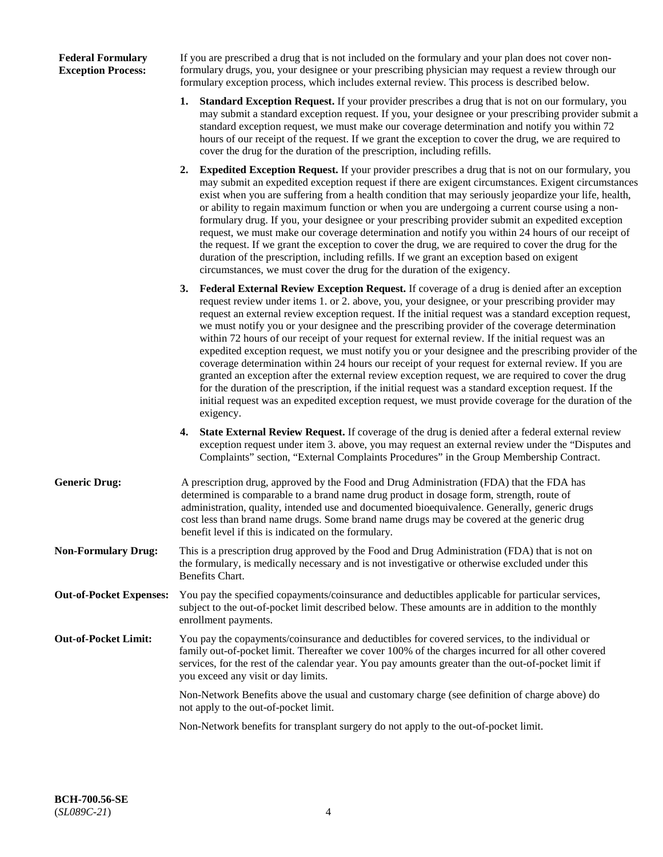## **Federal Formulary Exception Process:**

If you are prescribed a drug that is not included on the formulary and your plan does not cover nonformulary drugs, you, your designee or your prescribing physician may request a review through our formulary exception process, which includes external review. This process is described below.

- **1. Standard Exception Request.** If your provider prescribes a drug that is not on our formulary, you may submit a standard exception request. If you, your designee or your prescribing provider submit a standard exception request, we must make our coverage determination and notify you within 72 hours of our receipt of the request. If we grant the exception to cover the drug, we are required to cover the drug for the duration of the prescription, including refills.
- **2. Expedited Exception Request.** If your provider prescribes a drug that is not on our formulary, you may submit an expedited exception request if there are exigent circumstances. Exigent circumstances exist when you are suffering from a health condition that may seriously jeopardize your life, health, or ability to regain maximum function or when you are undergoing a current course using a nonformulary drug. If you, your designee or your prescribing provider submit an expedited exception request, we must make our coverage determination and notify you within 24 hours of our receipt of the request. If we grant the exception to cover the drug, we are required to cover the drug for the duration of the prescription, including refills. If we grant an exception based on exigent circumstances, we must cover the drug for the duration of the exigency.
- **3. Federal External Review Exception Request.** If coverage of a drug is denied after an exception request review under items 1. or 2. above, you, your designee, or your prescribing provider may request an external review exception request. If the initial request was a standard exception request, we must notify you or your designee and the prescribing provider of the coverage determination within 72 hours of our receipt of your request for external review. If the initial request was an expedited exception request, we must notify you or your designee and the prescribing provider of the coverage determination within 24 hours our receipt of your request for external review. If you are granted an exception after the external review exception request, we are required to cover the drug for the duration of the prescription, if the initial request was a standard exception request. If the initial request was an expedited exception request, we must provide coverage for the duration of the exigency.
- **4. State External Review Request.** If coverage of the drug is denied after a federal external review exception request under item 3. above, you may request an external review under the "Disputes and Complaints" section, "External Complaints Procedures" in the Group Membership Contract.
- **Generic Drug:** A prescription drug, approved by the Food and Drug Administration (FDA) that the FDA has determined is comparable to a brand name drug product in dosage form, strength, route of administration, quality, intended use and documented bioequivalence. Generally, generic drugs cost less than brand name drugs. Some brand name drugs may be covered at the generic drug benefit level if this is indicated on the formulary.
- **Non-Formulary Drug:** This is a prescription drug approved by the Food and Drug Administration (FDA) that is not on the formulary, is medically necessary and is not investigative or otherwise excluded under this Benefits Chart.
- **Out-of-Pocket Expenses:** You pay the specified copayments/coinsurance and deductibles applicable for particular services, subject to the out-of-pocket limit described below. These amounts are in addition to the monthly enrollment payments.
- **Out-of-Pocket Limit:** You pay the copayments/coinsurance and deductibles for covered services, to the individual or family out-of-pocket limit. Thereafter we cover 100% of the charges incurred for all other covered services, for the rest of the calendar year. You pay amounts greater than the out-of-pocket limit if you exceed any visit or day limits.

Non-Network Benefits above the usual and customary charge (see definition of charge above) do not apply to the out-of-pocket limit.

Non-Network benefits for transplant surgery do not apply to the out-of-pocket limit.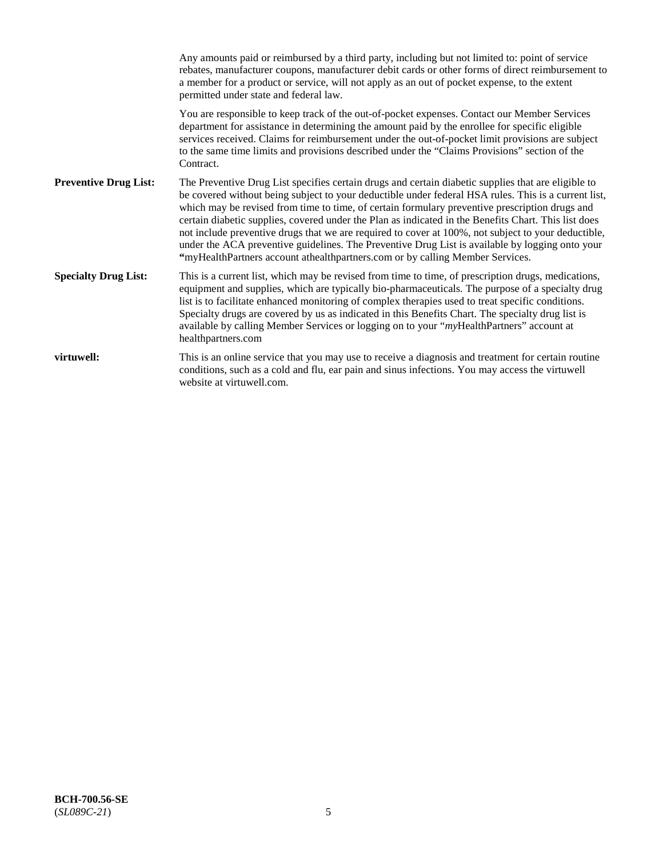|                              | Any amounts paid or reimbursed by a third party, including but not limited to: point of service<br>rebates, manufacturer coupons, manufacturer debit cards or other forms of direct reimbursement to<br>a member for a product or service, will not apply as an out of pocket expense, to the extent<br>permitted under state and federal law.                                                                                                                                                                                                                                                                                                                                                                   |
|------------------------------|------------------------------------------------------------------------------------------------------------------------------------------------------------------------------------------------------------------------------------------------------------------------------------------------------------------------------------------------------------------------------------------------------------------------------------------------------------------------------------------------------------------------------------------------------------------------------------------------------------------------------------------------------------------------------------------------------------------|
|                              | You are responsible to keep track of the out-of-pocket expenses. Contact our Member Services<br>department for assistance in determining the amount paid by the enrollee for specific eligible<br>services received. Claims for reimbursement under the out-of-pocket limit provisions are subject<br>to the same time limits and provisions described under the "Claims Provisions" section of the<br>Contract.                                                                                                                                                                                                                                                                                                 |
| <b>Preventive Drug List:</b> | The Preventive Drug List specifies certain drugs and certain diabetic supplies that are eligible to<br>be covered without being subject to your deductible under federal HSA rules. This is a current list,<br>which may be revised from time to time, of certain formulary preventive prescription drugs and<br>certain diabetic supplies, covered under the Plan as indicated in the Benefits Chart. This list does<br>not include preventive drugs that we are required to cover at 100%, not subject to your deductible,<br>under the ACA preventive guidelines. The Preventive Drug List is available by logging onto your<br>"myHealthPartners account athealthpartners.com or by calling Member Services. |
| <b>Specialty Drug List:</b>  | This is a current list, which may be revised from time to time, of prescription drugs, medications,<br>equipment and supplies, which are typically bio-pharmaceuticals. The purpose of a specialty drug<br>list is to facilitate enhanced monitoring of complex therapies used to treat specific conditions.<br>Specialty drugs are covered by us as indicated in this Benefits Chart. The specialty drug list is<br>available by calling Member Services or logging on to your "myHealthPartners" account at<br>healthpartners.com                                                                                                                                                                              |
| virtuwell:                   | This is an online service that you may use to receive a diagnosis and treatment for certain routine<br>conditions, such as a cold and flu, ear pain and sinus infections. You may access the virtuwell<br>website at virtuwell.com.                                                                                                                                                                                                                                                                                                                                                                                                                                                                              |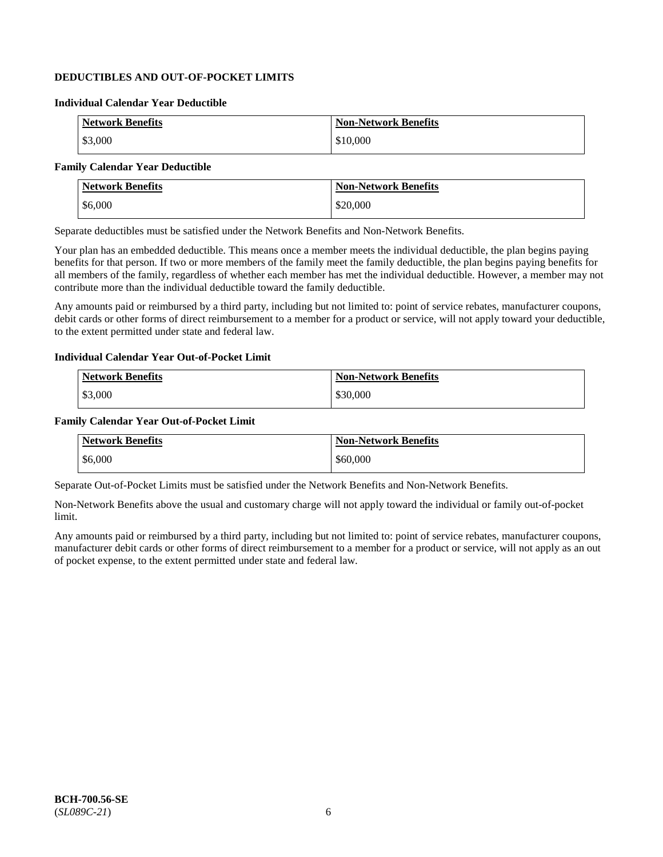## **DEDUCTIBLES AND OUT-OF-POCKET LIMITS**

#### **Individual Calendar Year Deductible**

| <b>Network Benefits</b> | <b>Non-Network Benefits</b> |
|-------------------------|-----------------------------|
| \$3,000                 | \$10,000                    |

## **Family Calendar Year Deductible**

| <b>Network Benefits</b> | <b>Non-Network Benefits</b> |
|-------------------------|-----------------------------|
| \$6,000                 | \$20,000                    |

Separate deductibles must be satisfied under the Network Benefits and Non-Network Benefits.

Your plan has an embedded deductible. This means once a member meets the individual deductible, the plan begins paying benefits for that person. If two or more members of the family meet the family deductible, the plan begins paying benefits for all members of the family, regardless of whether each member has met the individual deductible. However, a member may not contribute more than the individual deductible toward the family deductible.

Any amounts paid or reimbursed by a third party, including but not limited to: point of service rebates, manufacturer coupons, debit cards or other forms of direct reimbursement to a member for a product or service, will not apply toward your deductible, to the extent permitted under state and federal law.

#### **Individual Calendar Year Out-of-Pocket Limit**

| <b>Network Benefits</b> | <b>Non-Network Benefits</b> |
|-------------------------|-----------------------------|
| \$3,000                 | \$30,000                    |

#### **Family Calendar Year Out-of-Pocket Limit**

| <b>Network Benefits</b> | <b>Non-Network Benefits</b> |
|-------------------------|-----------------------------|
| \$6,000                 | \$60,000                    |

Separate Out-of-Pocket Limits must be satisfied under the Network Benefits and Non-Network Benefits.

Non-Network Benefits above the usual and customary charge will not apply toward the individual or family out-of-pocket limit.

Any amounts paid or reimbursed by a third party, including but not limited to: point of service rebates, manufacturer coupons, manufacturer debit cards or other forms of direct reimbursement to a member for a product or service, will not apply as an out of pocket expense, to the extent permitted under state and federal law.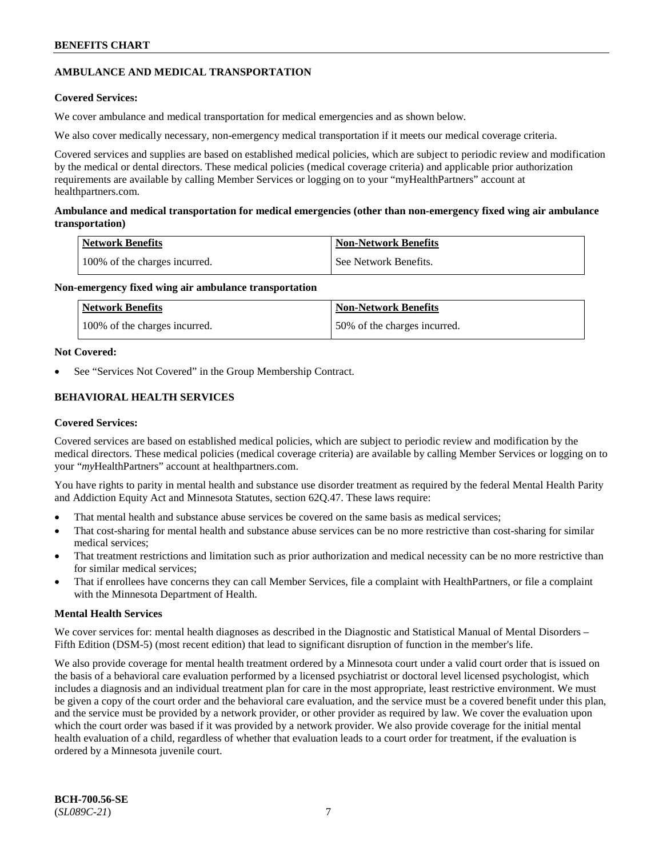## **AMBULANCE AND MEDICAL TRANSPORTATION**

## **Covered Services:**

We cover ambulance and medical transportation for medical emergencies and as shown below.

We also cover medically necessary, non-emergency medical transportation if it meets our medical coverage criteria.

Covered services and supplies are based on established medical policies, which are subject to periodic review and modification by the medical or dental directors. These medical policies (medical coverage criteria) and applicable prior authorization requirements are available by calling Member Services or logging on to your "myHealthPartners" account at [healthpartners.com.](https://www.healthpartners.com/hp/index.html)

## **Ambulance and medical transportation for medical emergencies (other than non-emergency fixed wing air ambulance transportation)**

| Network Benefits              | <b>Non-Network Benefits</b> |
|-------------------------------|-----------------------------|
| 100% of the charges incurred. | See Network Benefits.       |

## **Non-emergency fixed wing air ambulance transportation**

| Network Benefits              | <b>Non-Network Benefits</b>  |
|-------------------------------|------------------------------|
| 100% of the charges incurred. | 50% of the charges incurred. |

## **Not Covered:**

See "Services Not Covered" in the Group Membership Contract.

## **BEHAVIORAL HEALTH SERVICES**

## **Covered Services:**

Covered services are based on established medical policies, which are subject to periodic review and modification by the medical directors. These medical policies (medical coverage criteria) are available by calling Member Services or logging on to your "*my*HealthPartners" account at [healthpartners.com.](http://www.healthpartners.com/)

You have rights to parity in mental health and substance use disorder treatment as required by the federal Mental Health Parity and Addiction Equity Act and Minnesota Statutes, section 62Q.47. These laws require:

- That mental health and substance abuse services be covered on the same basis as medical services;
- That cost-sharing for mental health and substance abuse services can be no more restrictive than cost-sharing for similar medical services;
- That treatment restrictions and limitation such as prior authorization and medical necessity can be no more restrictive than for similar medical services;
- That if enrollees have concerns they can call Member Services, file a complaint with HealthPartners, or file a complaint with the Minnesota Department of Health.

## **Mental Health Services**

We cover services for: mental health diagnoses as described in the Diagnostic and Statistical Manual of Mental Disorders – Fifth Edition (DSM-5) (most recent edition) that lead to significant disruption of function in the member's life.

We also provide coverage for mental health treatment ordered by a Minnesota court under a valid court order that is issued on the basis of a behavioral care evaluation performed by a licensed psychiatrist or doctoral level licensed psychologist, which includes a diagnosis and an individual treatment plan for care in the most appropriate, least restrictive environment. We must be given a copy of the court order and the behavioral care evaluation, and the service must be a covered benefit under this plan, and the service must be provided by a network provider, or other provider as required by law. We cover the evaluation upon which the court order was based if it was provided by a network provider. We also provide coverage for the initial mental health evaluation of a child, regardless of whether that evaluation leads to a court order for treatment, if the evaluation is ordered by a Minnesota juvenile court.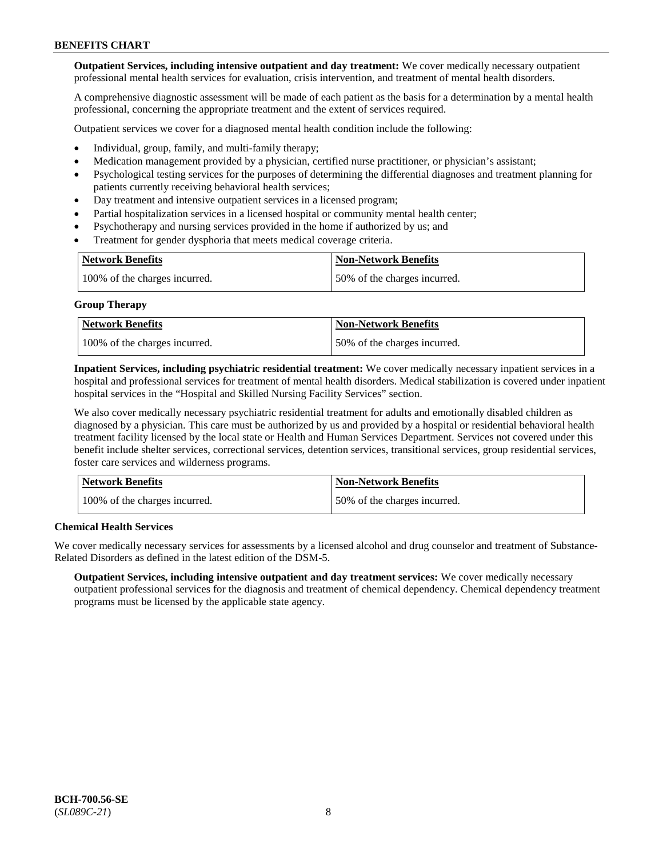**Outpatient Services, including intensive outpatient and day treatment:** We cover medically necessary outpatient professional mental health services for evaluation, crisis intervention, and treatment of mental health disorders.

A comprehensive diagnostic assessment will be made of each patient as the basis for a determination by a mental health professional, concerning the appropriate treatment and the extent of services required.

Outpatient services we cover for a diagnosed mental health condition include the following:

- Individual, group, family, and multi-family therapy;
- Medication management provided by a physician, certified nurse practitioner, or physician's assistant;
- Psychological testing services for the purposes of determining the differential diagnoses and treatment planning for patients currently receiving behavioral health services;
- Day treatment and intensive outpatient services in a licensed program;
- Partial hospitalization services in a licensed hospital or community mental health center;
- Psychotherapy and nursing services provided in the home if authorized by us; and
- Treatment for gender dysphoria that meets medical coverage criteria.

| <b>Network Benefits</b>       | <b>Non-Network Benefits</b>  |
|-------------------------------|------------------------------|
| 100% of the charges incurred. | 50% of the charges incurred. |

#### **Group Therapy**

| Network Benefits              | <b>Non-Network Benefits</b>  |
|-------------------------------|------------------------------|
| 100% of the charges incurred. | 50% of the charges incurred. |

**Inpatient Services, including psychiatric residential treatment:** We cover medically necessary inpatient services in a hospital and professional services for treatment of mental health disorders. Medical stabilization is covered under inpatient hospital services in the "Hospital and Skilled Nursing Facility Services" section.

We also cover medically necessary psychiatric residential treatment for adults and emotionally disabled children as diagnosed by a physician. This care must be authorized by us and provided by a hospital or residential behavioral health treatment facility licensed by the local state or Health and Human Services Department. Services not covered under this benefit include shelter services, correctional services, detention services, transitional services, group residential services, foster care services and wilderness programs.

| Network Benefits              | <b>Non-Network Benefits</b>  |
|-------------------------------|------------------------------|
| 100% of the charges incurred. | 50% of the charges incurred. |

## **Chemical Health Services**

We cover medically necessary services for assessments by a licensed alcohol and drug counselor and treatment of Substance-Related Disorders as defined in the latest edition of the DSM-5.

**Outpatient Services, including intensive outpatient and day treatment services:** We cover medically necessary outpatient professional services for the diagnosis and treatment of chemical dependency. Chemical dependency treatment programs must be licensed by the applicable state agency.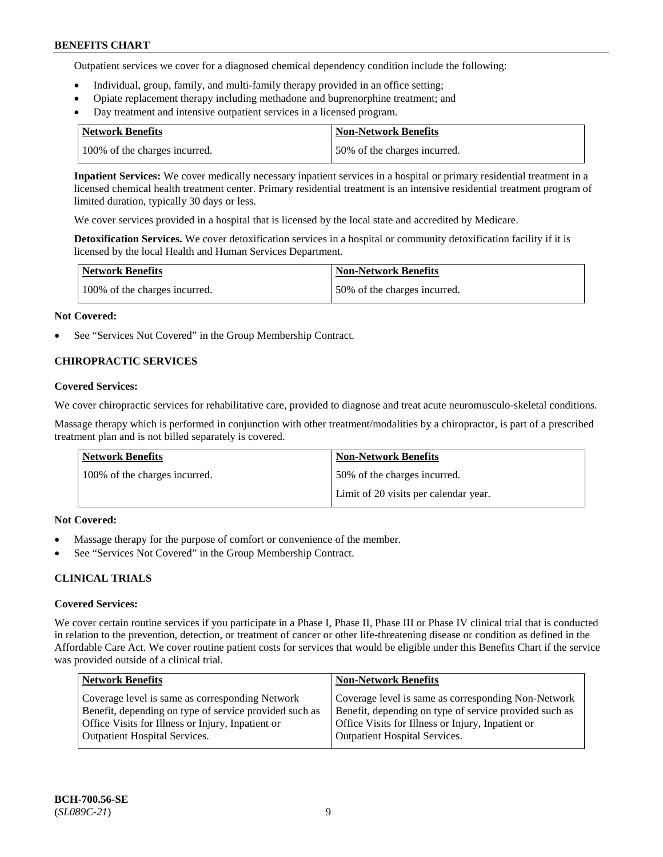Outpatient services we cover for a diagnosed chemical dependency condition include the following:

- Individual, group, family, and multi-family therapy provided in an office setting;
- Opiate replacement therapy including methadone and buprenorphine treatment; and
- Day treatment and intensive outpatient services in a licensed program.

| Network Benefits              | <b>Non-Network Benefits</b>  |
|-------------------------------|------------------------------|
| 100% of the charges incurred. | 50% of the charges incurred. |

**Inpatient Services:** We cover medically necessary inpatient services in a hospital or primary residential treatment in a licensed chemical health treatment center. Primary residential treatment is an intensive residential treatment program of limited duration, typically 30 days or less.

We cover services provided in a hospital that is licensed by the local state and accredited by Medicare.

**Detoxification Services.** We cover detoxification services in a hospital or community detoxification facility if it is licensed by the local Health and Human Services Department.

| <b>Network Benefits</b>       | <b>Non-Network Benefits</b>  |
|-------------------------------|------------------------------|
| 100% of the charges incurred. | 50% of the charges incurred. |

#### **Not Covered:**

See "Services Not Covered" in the Group Membership Contract.

## **CHIROPRACTIC SERVICES**

#### **Covered Services:**

We cover chiropractic services for rehabilitative care, provided to diagnose and treat acute neuromusculo-skeletal conditions.

Massage therapy which is performed in conjunction with other treatment/modalities by a chiropractor, is part of a prescribed treatment plan and is not billed separately is covered.

| Network Benefits              | <b>Non-Network Benefits</b>           |
|-------------------------------|---------------------------------------|
| 100% of the charges incurred. | 50% of the charges incurred.          |
|                               | Limit of 20 visits per calendar year. |

## **Not Covered:**

- Massage therapy for the purpose of comfort or convenience of the member.
- See "Services Not Covered" in the Group Membership Contract.

## **CLINICAL TRIALS**

#### **Covered Services:**

We cover certain routine services if you participate in a Phase I, Phase II, Phase III or Phase IV clinical trial that is conducted in relation to the prevention, detection, or treatment of cancer or other life-threatening disease or condition as defined in the Affordable Care Act. We cover routine patient costs for services that would be eligible under this Benefits Chart if the service was provided outside of a clinical trial.

| <b>Network Benefits</b>                                                                                                                                                                                | <b>Non-Network Benefits</b>                                                                                                                                                                                |
|--------------------------------------------------------------------------------------------------------------------------------------------------------------------------------------------------------|------------------------------------------------------------------------------------------------------------------------------------------------------------------------------------------------------------|
| Coverage level is same as corresponding Network<br>Benefit, depending on type of service provided such as<br>Office Visits for Illness or Injury, Inpatient or<br><b>Outpatient Hospital Services.</b> | Coverage level is same as corresponding Non-Network<br>Benefit, depending on type of service provided such as<br>Office Visits for Illness or Injury, Inpatient or<br><b>Outpatient Hospital Services.</b> |
|                                                                                                                                                                                                        |                                                                                                                                                                                                            |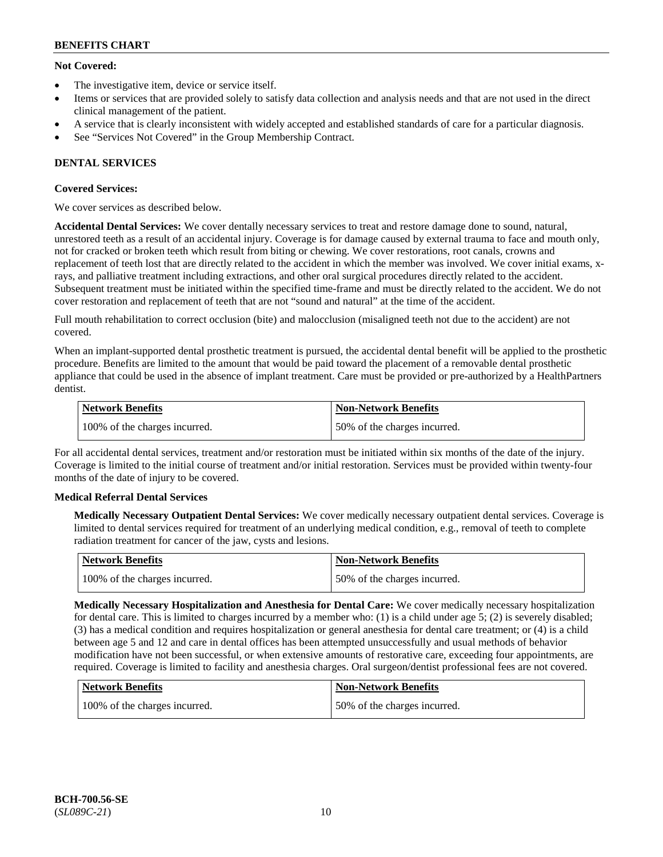## **Not Covered:**

- The investigative item, device or service itself.
- Items or services that are provided solely to satisfy data collection and analysis needs and that are not used in the direct clinical management of the patient.
- A service that is clearly inconsistent with widely accepted and established standards of care for a particular diagnosis.
- See "Services Not Covered" in the Group Membership Contract.

## **DENTAL SERVICES**

## **Covered Services:**

We cover services as described below.

**Accidental Dental Services:** We cover dentally necessary services to treat and restore damage done to sound, natural, unrestored teeth as a result of an accidental injury. Coverage is for damage caused by external trauma to face and mouth only, not for cracked or broken teeth which result from biting or chewing. We cover restorations, root canals, crowns and replacement of teeth lost that are directly related to the accident in which the member was involved. We cover initial exams, xrays, and palliative treatment including extractions, and other oral surgical procedures directly related to the accident. Subsequent treatment must be initiated within the specified time-frame and must be directly related to the accident. We do not cover restoration and replacement of teeth that are not "sound and natural" at the time of the accident.

Full mouth rehabilitation to correct occlusion (bite) and malocclusion (misaligned teeth not due to the accident) are not covered.

When an implant-supported dental prosthetic treatment is pursued, the accidental dental benefit will be applied to the prosthetic procedure. Benefits are limited to the amount that would be paid toward the placement of a removable dental prosthetic appliance that could be used in the absence of implant treatment. Care must be provided or pre-authorized by a HealthPartners dentist.

| Network Benefits              | <b>Non-Network Benefits</b>  |
|-------------------------------|------------------------------|
| 100% of the charges incurred. | 50% of the charges incurred. |

For all accidental dental services, treatment and/or restoration must be initiated within six months of the date of the injury. Coverage is limited to the initial course of treatment and/or initial restoration. Services must be provided within twenty-four months of the date of injury to be covered.

## **Medical Referral Dental Services**

**Medically Necessary Outpatient Dental Services:** We cover medically necessary outpatient dental services. Coverage is limited to dental services required for treatment of an underlying medical condition, e.g., removal of teeth to complete radiation treatment for cancer of the jaw, cysts and lesions.

| Network Benefits              | Non-Network Benefits         |
|-------------------------------|------------------------------|
| 100% of the charges incurred. | 50% of the charges incurred. |

**Medically Necessary Hospitalization and Anesthesia for Dental Care:** We cover medically necessary hospitalization for dental care. This is limited to charges incurred by a member who: (1) is a child under age  $5$ ; (2) is severely disabled; (3) has a medical condition and requires hospitalization or general anesthesia for dental care treatment; or (4) is a child between age 5 and 12 and care in dental offices has been attempted unsuccessfully and usual methods of behavior modification have not been successful, or when extensive amounts of restorative care, exceeding four appointments, are required. Coverage is limited to facility and anesthesia charges. Oral surgeon/dentist professional fees are not covered.

| <b>Network Benefits</b>       | <b>Non-Network Benefits</b>  |
|-------------------------------|------------------------------|
| 100% of the charges incurred. | 50% of the charges incurred. |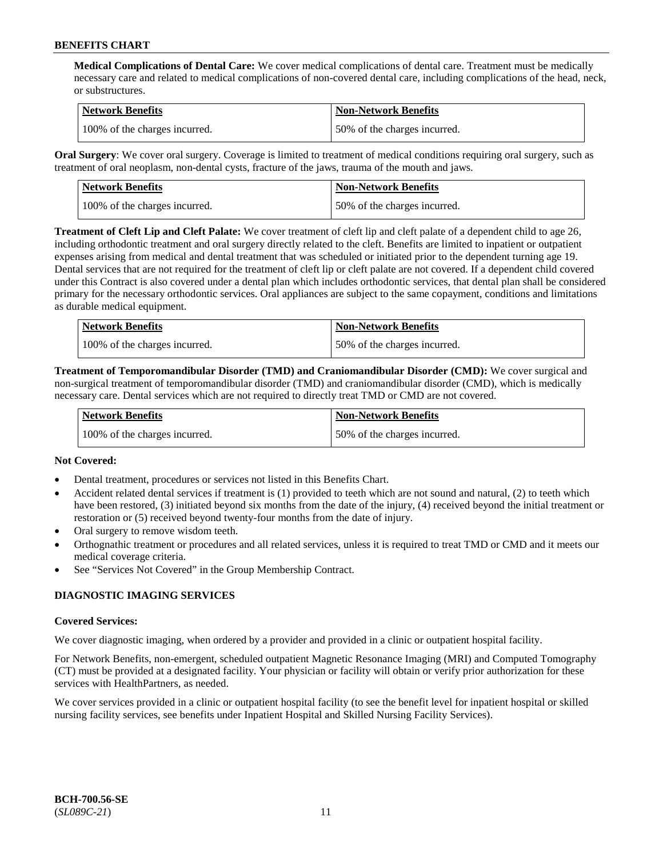**Medical Complications of Dental Care:** We cover medical complications of dental care. Treatment must be medically necessary care and related to medical complications of non-covered dental care, including complications of the head, neck, or substructures.

| Network Benefits              | <b>Non-Network Benefits</b>  |
|-------------------------------|------------------------------|
| 100% of the charges incurred. | 50% of the charges incurred. |

**Oral Surgery**: We cover oral surgery. Coverage is limited to treatment of medical conditions requiring oral surgery, such as treatment of oral neoplasm, non-dental cysts, fracture of the jaws, trauma of the mouth and jaws.

| Network Benefits              | <b>Non-Network Benefits</b>  |
|-------------------------------|------------------------------|
| 100% of the charges incurred. | 50% of the charges incurred. |

**Treatment of Cleft Lip and Cleft Palate:** We cover treatment of cleft lip and cleft palate of a dependent child to age 26, including orthodontic treatment and oral surgery directly related to the cleft. Benefits are limited to inpatient or outpatient expenses arising from medical and dental treatment that was scheduled or initiated prior to the dependent turning age 19. Dental services that are not required for the treatment of cleft lip or cleft palate are not covered. If a dependent child covered under this Contract is also covered under a dental plan which includes orthodontic services, that dental plan shall be considered primary for the necessary orthodontic services. Oral appliances are subject to the same copayment, conditions and limitations as durable medical equipment.

| <b>Network Benefits</b>       | <b>Non-Network Benefits</b>  |
|-------------------------------|------------------------------|
| 100% of the charges incurred. | 50% of the charges incurred. |

**Treatment of Temporomandibular Disorder (TMD) and Craniomandibular Disorder (CMD):** We cover surgical and non-surgical treatment of temporomandibular disorder (TMD) and craniomandibular disorder (CMD), which is medically necessary care. Dental services which are not required to directly treat TMD or CMD are not covered.

| Network Benefits              | <b>Non-Network Benefits</b>  |
|-------------------------------|------------------------------|
| 100% of the charges incurred. | 50% of the charges incurred. |

## **Not Covered:**

- Dental treatment, procedures or services not listed in this Benefits Chart.
- Accident related dental services if treatment is (1) provided to teeth which are not sound and natural, (2) to teeth which have been restored, (3) initiated beyond six months from the date of the injury, (4) received beyond the initial treatment or restoration or (5) received beyond twenty-four months from the date of injury.
- Oral surgery to remove wisdom teeth.
- Orthognathic treatment or procedures and all related services, unless it is required to treat TMD or CMD and it meets our medical coverage criteria.
- See "Services Not Covered" in the Group Membership Contract.

## **DIAGNOSTIC IMAGING SERVICES**

#### **Covered Services:**

We cover diagnostic imaging, when ordered by a provider and provided in a clinic or outpatient hospital facility.

For Network Benefits, non-emergent, scheduled outpatient Magnetic Resonance Imaging (MRI) and Computed Tomography (CT) must be provided at a designated facility. Your physician or facility will obtain or verify prior authorization for these services with HealthPartners, as needed.

We cover services provided in a clinic or outpatient hospital facility (to see the benefit level for inpatient hospital or skilled nursing facility services, see benefits under Inpatient Hospital and Skilled Nursing Facility Services).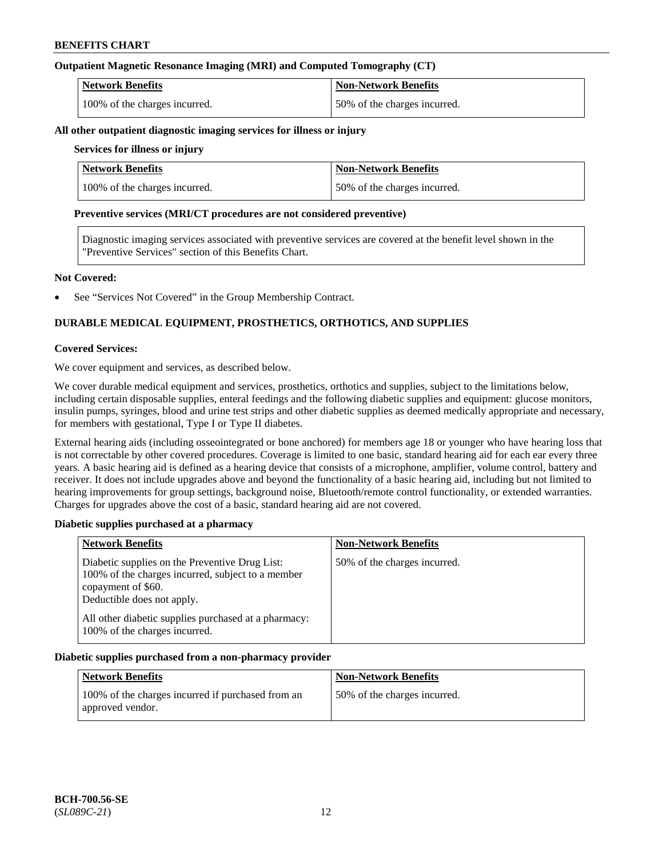## **Outpatient Magnetic Resonance Imaging (MRI) and Computed Tomography (CT)**

| <b>Network Benefits</b>       | <b>Non-Network Benefits</b>  |
|-------------------------------|------------------------------|
| 100% of the charges incurred. | 50% of the charges incurred. |

#### **All other outpatient diagnostic imaging services for illness or injury**

## **Services for illness or injury**

| <b>Network Benefits</b>       | <b>Non-Network Benefits</b>  |
|-------------------------------|------------------------------|
| 100% of the charges incurred. | 50% of the charges incurred. |

#### **Preventive services (MRI/CT procedures are not considered preventive)**

Diagnostic imaging services associated with preventive services are covered at the benefit level shown in the "Preventive Services" section of this Benefits Chart.

#### **Not Covered:**

See "Services Not Covered" in the Group Membership Contract.

## **DURABLE MEDICAL EQUIPMENT, PROSTHETICS, ORTHOTICS, AND SUPPLIES**

#### **Covered Services:**

We cover equipment and services, as described below.

We cover durable medical equipment and services, prosthetics, orthotics and supplies, subject to the limitations below, including certain disposable supplies, enteral feedings and the following diabetic supplies and equipment: glucose monitors, insulin pumps, syringes, blood and urine test strips and other diabetic supplies as deemed medically appropriate and necessary, for members with gestational, Type I or Type II diabetes.

External hearing aids (including osseointegrated or bone anchored) for members age 18 or younger who have hearing loss that is not correctable by other covered procedures. Coverage is limited to one basic, standard hearing aid for each ear every three years. A basic hearing aid is defined as a hearing device that consists of a microphone, amplifier, volume control, battery and receiver. It does not include upgrades above and beyond the functionality of a basic hearing aid, including but not limited to hearing improvements for group settings, background noise, Bluetooth/remote control functionality, or extended warranties. Charges for upgrades above the cost of a basic, standard hearing aid are not covered.

## **Diabetic supplies purchased at a pharmacy**

| <b>Network Benefits</b>                                                                                                                                 | <b>Non-Network Benefits</b>  |
|---------------------------------------------------------------------------------------------------------------------------------------------------------|------------------------------|
| Diabetic supplies on the Preventive Drug List:<br>100% of the charges incurred, subject to a member<br>copayment of \$60.<br>Deductible does not apply. | 50% of the charges incurred. |
| All other diabetic supplies purchased at a pharmacy:<br>100% of the charges incurred.                                                                   |                              |

## **Diabetic supplies purchased from a non-pharmacy provider**

| <b>Network Benefits</b>                                               | <b>Non-Network Benefits</b>  |
|-----------------------------------------------------------------------|------------------------------|
| 100% of the charges incurred if purchased from an<br>approved vendor. | 50% of the charges incurred. |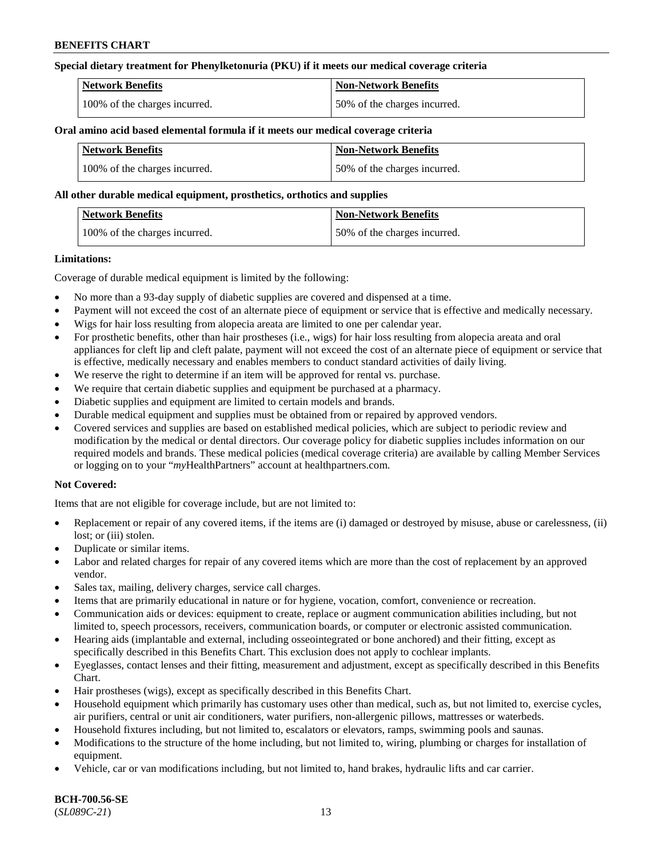## **Special dietary treatment for Phenylketonuria (PKU) if it meets our medical coverage criteria**

| <b>Network Benefits</b>       | <b>Non-Network Benefits</b>  |
|-------------------------------|------------------------------|
| 100% of the charges incurred. | 50% of the charges incurred. |

#### **Oral amino acid based elemental formula if it meets our medical coverage criteria**

| <b>Network Benefits</b>       | Non-Network Benefits         |
|-------------------------------|------------------------------|
| 100% of the charges incurred. | 50% of the charges incurred. |

#### **All other durable medical equipment, prosthetics, orthotics and supplies**

| Network Benefits              | <b>Non-Network Benefits</b>  |
|-------------------------------|------------------------------|
| 100% of the charges incurred. | 50% of the charges incurred. |

#### **Limitations:**

Coverage of durable medical equipment is limited by the following:

- No more than a 93-day supply of diabetic supplies are covered and dispensed at a time.
- Payment will not exceed the cost of an alternate piece of equipment or service that is effective and medically necessary.
- Wigs for hair loss resulting from alopecia areata are limited to one per calendar year.
- For prosthetic benefits, other than hair prostheses (i.e., wigs) for hair loss resulting from alopecia areata and oral appliances for cleft lip and cleft palate, payment will not exceed the cost of an alternate piece of equipment or service that is effective, medically necessary and enables members to conduct standard activities of daily living.
- We reserve the right to determine if an item will be approved for rental vs. purchase.
- We require that certain diabetic supplies and equipment be purchased at a pharmacy.
- Diabetic supplies and equipment are limited to certain models and brands.
- Durable medical equipment and supplies must be obtained from or repaired by approved vendors.
- Covered services and supplies are based on established medical policies, which are subject to periodic review and modification by the medical or dental directors. Our coverage policy for diabetic supplies includes information on our required models and brands. These medical policies (medical coverage criteria) are available by calling Member Services or logging on to your "*my*HealthPartners" account a[t healthpartners.com.](https://www.healthpartners.com/hp/index.html)

## **Not Covered:**

Items that are not eligible for coverage include, but are not limited to:

- Replacement or repair of any covered items, if the items are (i) damaged or destroyed by misuse, abuse or carelessness, (ii) lost; or (iii) stolen.
- Duplicate or similar items.
- Labor and related charges for repair of any covered items which are more than the cost of replacement by an approved vendor.
- Sales tax, mailing, delivery charges, service call charges.
- Items that are primarily educational in nature or for hygiene, vocation, comfort, convenience or recreation.
- Communication aids or devices: equipment to create, replace or augment communication abilities including, but not limited to, speech processors, receivers, communication boards, or computer or electronic assisted communication.
- Hearing aids (implantable and external, including osseointegrated or bone anchored) and their fitting, except as specifically described in this Benefits Chart. This exclusion does not apply to cochlear implants.
- Eyeglasses, contact lenses and their fitting, measurement and adjustment, except as specifically described in this Benefits Chart.
- Hair prostheses (wigs), except as specifically described in this Benefits Chart.
- Household equipment which primarily has customary uses other than medical, such as, but not limited to, exercise cycles, air purifiers, central or unit air conditioners, water purifiers, non-allergenic pillows, mattresses or waterbeds.
- Household fixtures including, but not limited to, escalators or elevators, ramps, swimming pools and saunas.
- Modifications to the structure of the home including, but not limited to, wiring, plumbing or charges for installation of equipment.
- Vehicle, car or van modifications including, but not limited to, hand brakes, hydraulic lifts and car carrier.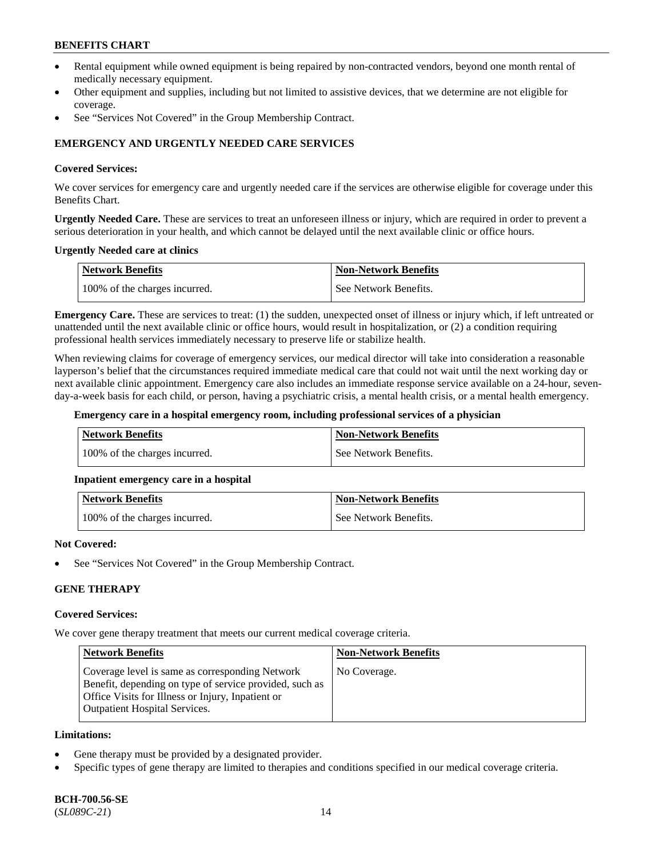- Rental equipment while owned equipment is being repaired by non-contracted vendors, beyond one month rental of medically necessary equipment.
- Other equipment and supplies, including but not limited to assistive devices, that we determine are not eligible for coverage.
- See "Services Not Covered" in the Group Membership Contract.

## **EMERGENCY AND URGENTLY NEEDED CARE SERVICES**

#### **Covered Services:**

We cover services for emergency care and urgently needed care if the services are otherwise eligible for coverage under this Benefits Chart.

**Urgently Needed Care.** These are services to treat an unforeseen illness or injury, which are required in order to prevent a serious deterioration in your health, and which cannot be delayed until the next available clinic or office hours.

#### **Urgently Needed care at clinics**

| <b>Network Benefits</b>       | <b>Non-Network Benefits</b> |
|-------------------------------|-----------------------------|
| 100% of the charges incurred. | See Network Benefits.       |

**Emergency Care.** These are services to treat: (1) the sudden, unexpected onset of illness or injury which, if left untreated or unattended until the next available clinic or office hours, would result in hospitalization, or (2) a condition requiring professional health services immediately necessary to preserve life or stabilize health.

When reviewing claims for coverage of emergency services, our medical director will take into consideration a reasonable layperson's belief that the circumstances required immediate medical care that could not wait until the next working day or next available clinic appointment. Emergency care also includes an immediate response service available on a 24-hour, sevenday-a-week basis for each child, or person, having a psychiatric crisis, a mental health crisis, or a mental health emergency.

#### **Emergency care in a hospital emergency room, including professional services of a physician**

| Network Benefits              | Non-Network Benefits  |
|-------------------------------|-----------------------|
| 100% of the charges incurred. | See Network Benefits. |

## **Inpatient emergency care in a hospital**

| Network Benefits              | <b>Non-Network Benefits</b> |
|-------------------------------|-----------------------------|
| 100% of the charges incurred. | See Network Benefits.       |

#### **Not Covered:**

See "Services Not Covered" in the Group Membership Contract.

## **GENE THERAPY**

#### **Covered Services:**

We cover gene therapy treatment that meets our current medical coverage criteria.

| <b>Network Benefits</b>                                                                                                                                                                                 | <b>Non-Network Benefits</b> |
|---------------------------------------------------------------------------------------------------------------------------------------------------------------------------------------------------------|-----------------------------|
| Coverage level is same as corresponding Network<br>Benefit, depending on type of service provided, such as<br>Office Visits for Illness or Injury, Inpatient or<br><b>Outpatient Hospital Services.</b> | No Coverage.                |

#### **Limitations:**

- Gene therapy must be provided by a designated provider.
- Specific types of gene therapy are limited to therapies and conditions specified in our medical coverage criteria.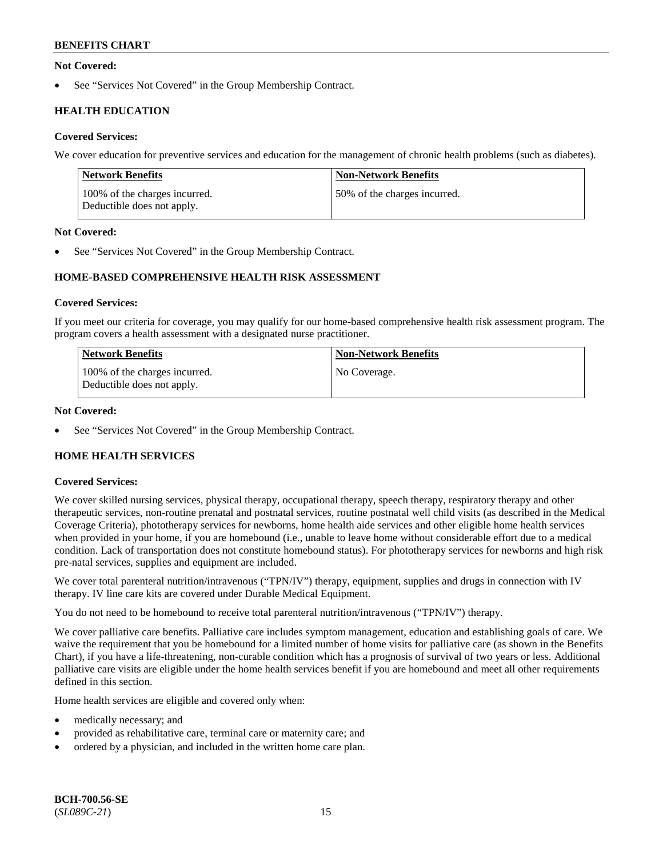## **Not Covered:**

See "Services Not Covered" in the Group Membership Contract.

## **HEALTH EDUCATION**

## **Covered Services:**

We cover education for preventive services and education for the management of chronic health problems (such as diabetes).

| Network Benefits                                            | <b>Non-Network Benefits</b>  |
|-------------------------------------------------------------|------------------------------|
| 100% of the charges incurred.<br>Deductible does not apply. | 50% of the charges incurred. |

## **Not Covered:**

See "Services Not Covered" in the Group Membership Contract.

## **HOME-BASED COMPREHENSIVE HEALTH RISK ASSESSMENT**

#### **Covered Services:**

If you meet our criteria for coverage, you may qualify for our home-based comprehensive health risk assessment program. The program covers a health assessment with a designated nurse practitioner.

| <b>Network Benefits</b>                                     | <b>Non-Network Benefits</b> |
|-------------------------------------------------------------|-----------------------------|
| 100% of the charges incurred.<br>Deductible does not apply. | No Coverage.                |

#### **Not Covered:**

See "Services Not Covered" in the Group Membership Contract.

## **HOME HEALTH SERVICES**

## **Covered Services:**

We cover skilled nursing services, physical therapy, occupational therapy, speech therapy, respiratory therapy and other therapeutic services, non-routine prenatal and postnatal services, routine postnatal well child visits (as described in the Medical Coverage Criteria), phototherapy services for newborns, home health aide services and other eligible home health services when provided in your home, if you are homebound (i.e., unable to leave home without considerable effort due to a medical condition. Lack of transportation does not constitute homebound status). For phototherapy services for newborns and high risk pre-natal services, supplies and equipment are included.

We cover total parenteral nutrition/intravenous ("TPN/IV") therapy, equipment, supplies and drugs in connection with IV therapy. IV line care kits are covered under Durable Medical Equipment.

You do not need to be homebound to receive total parenteral nutrition/intravenous ("TPN/IV") therapy.

We cover palliative care benefits. Palliative care includes symptom management, education and establishing goals of care. We waive the requirement that you be homebound for a limited number of home visits for palliative care (as shown in the Benefits Chart), if you have a life-threatening, non-curable condition which has a prognosis of survival of two years or less. Additional palliative care visits are eligible under the home health services benefit if you are homebound and meet all other requirements defined in this section.

Home health services are eligible and covered only when:

- medically necessary; and
- provided as rehabilitative care, terminal care or maternity care; and
- ordered by a physician, and included in the written home care plan.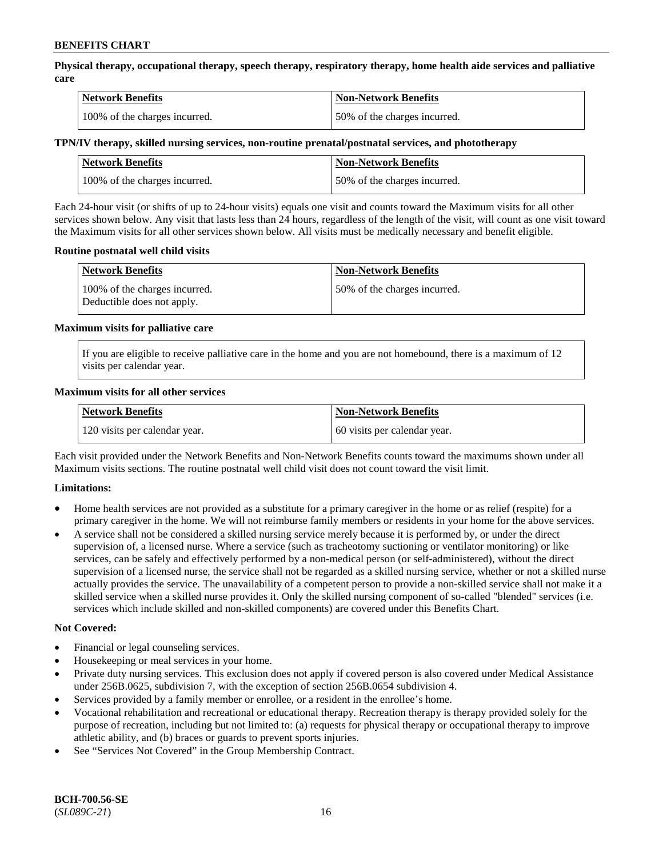**Physical therapy, occupational therapy, speech therapy, respiratory therapy, home health aide services and palliative care**

| <b>Network Benefits</b>       | <b>Non-Network Benefits</b>  |
|-------------------------------|------------------------------|
| 100% of the charges incurred. | 50% of the charges incurred. |

## **TPN/IV therapy, skilled nursing services, non-routine prenatal/postnatal services, and phototherapy**

| <b>Network Benefits</b>       | <b>Non-Network Benefits</b>  |
|-------------------------------|------------------------------|
| 100% of the charges incurred. | 50% of the charges incurred. |

Each 24-hour visit (or shifts of up to 24-hour visits) equals one visit and counts toward the Maximum visits for all other services shown below. Any visit that lasts less than 24 hours, regardless of the length of the visit, will count as one visit toward the Maximum visits for all other services shown below. All visits must be medically necessary and benefit eligible.

#### **Routine postnatal well child visits**

| <b>Network Benefits</b>                                     | <b>Non-Network Benefits</b>  |
|-------------------------------------------------------------|------------------------------|
| 100% of the charges incurred.<br>Deductible does not apply. | 50% of the charges incurred. |

#### **Maximum visits for palliative care**

If you are eligible to receive palliative care in the home and you are not homebound, there is a maximum of 12 visits per calendar year.

#### **Maximum visits for all other services**

| <b>Network Benefits</b>       | <b>Non-Network Benefits</b>  |
|-------------------------------|------------------------------|
| 120 visits per calendar year. | 60 visits per calendar year. |

Each visit provided under the Network Benefits and Non-Network Benefits counts toward the maximums shown under all Maximum visits sections. The routine postnatal well child visit does not count toward the visit limit.

## **Limitations:**

- Home health services are not provided as a substitute for a primary caregiver in the home or as relief (respite) for a primary caregiver in the home. We will not reimburse family members or residents in your home for the above services.
- A service shall not be considered a skilled nursing service merely because it is performed by, or under the direct supervision of, a licensed nurse. Where a service (such as tracheotomy suctioning or ventilator monitoring) or like services, can be safely and effectively performed by a non-medical person (or self-administered), without the direct supervision of a licensed nurse, the service shall not be regarded as a skilled nursing service, whether or not a skilled nurse actually provides the service. The unavailability of a competent person to provide a non-skilled service shall not make it a skilled service when a skilled nurse provides it. Only the skilled nursing component of so-called "blended" services (i.e. services which include skilled and non-skilled components) are covered under this Benefits Chart.

## **Not Covered:**

- Financial or legal counseling services.
- Housekeeping or meal services in your home.
- Private duty nursing services. This exclusion does not apply if covered person is also covered under Medical Assistance under 256B.0625, subdivision 7, with the exception of section 256B.0654 subdivision 4.
- Services provided by a family member or enrollee, or a resident in the enrollee's home.
- Vocational rehabilitation and recreational or educational therapy. Recreation therapy is therapy provided solely for the purpose of recreation, including but not limited to: (a) requests for physical therapy or occupational therapy to improve athletic ability, and (b) braces or guards to prevent sports injuries.
- See "Services Not Covered" in the Group Membership Contract.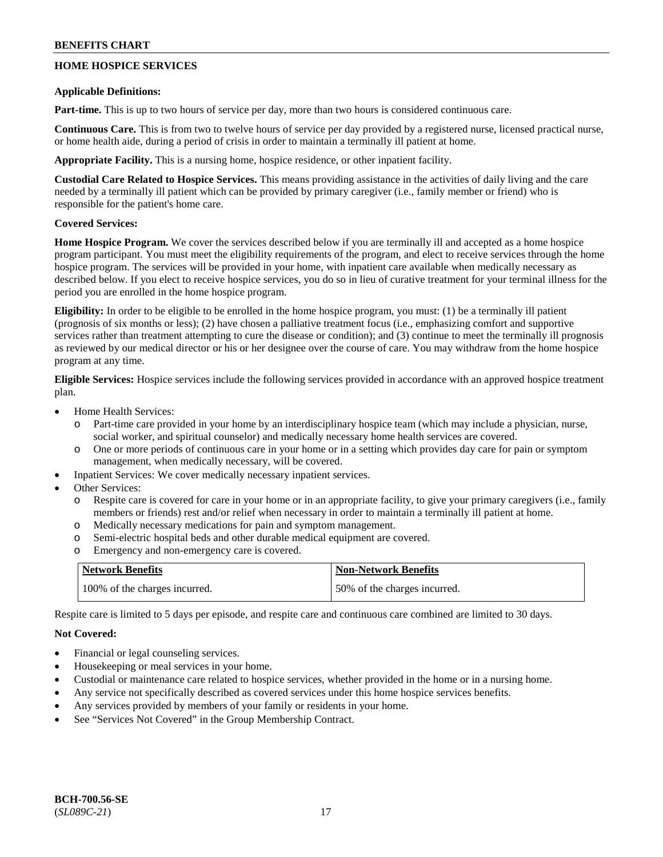## **HOME HOSPICE SERVICES**

#### **Applicable Definitions:**

**Part-time.** This is up to two hours of service per day, more than two hours is considered continuous care.

**Continuous Care.** This is from two to twelve hours of service per day provided by a registered nurse, licensed practical nurse, or home health aide, during a period of crisis in order to maintain a terminally ill patient at home.

**Appropriate Facility.** This is a nursing home, hospice residence, or other inpatient facility.

**Custodial Care Related to Hospice Services.** This means providing assistance in the activities of daily living and the care needed by a terminally ill patient which can be provided by primary caregiver (i.e., family member or friend) who is responsible for the patient's home care.

## **Covered Services:**

**Home Hospice Program.** We cover the services described below if you are terminally ill and accepted as a home hospice program participant. You must meet the eligibility requirements of the program, and elect to receive services through the home hospice program. The services will be provided in your home, with inpatient care available when medically necessary as described below. If you elect to receive hospice services, you do so in lieu of curative treatment for your terminal illness for the period you are enrolled in the home hospice program.

**Eligibility:** In order to be eligible to be enrolled in the home hospice program, you must: (1) be a terminally ill patient (prognosis of six months or less); (2) have chosen a palliative treatment focus (i.e., emphasizing comfort and supportive services rather than treatment attempting to cure the disease or condition); and (3) continue to meet the terminally ill prognosis as reviewed by our medical director or his or her designee over the course of care. You may withdraw from the home hospice program at any time.

**Eligible Services:** Hospice services include the following services provided in accordance with an approved hospice treatment plan.

- Home Health Services:
	- o Part-time care provided in your home by an interdisciplinary hospice team (which may include a physician, nurse, social worker, and spiritual counselor) and medically necessary home health services are covered.
	- o One or more periods of continuous care in your home or in a setting which provides day care for pain or symptom management, when medically necessary, will be covered.
- Inpatient Services: We cover medically necessary inpatient services.
- Other Services:
	- o Respite care is covered for care in your home or in an appropriate facility, to give your primary caregivers (i.e., family members or friends) rest and/or relief when necessary in order to maintain a terminally ill patient at home.
	- o Medically necessary medications for pain and symptom management.
	- o Semi-electric hospital beds and other durable medical equipment are covered.
	- o Emergency and non-emergency care is covered.

| <b>Network Benefits</b>       | <b>Non-Network Benefits</b>  |
|-------------------------------|------------------------------|
| 100% of the charges incurred. | 50% of the charges incurred. |

Respite care is limited to 5 days per episode, and respite care and continuous care combined are limited to 30 days.

## **Not Covered:**

- Financial or legal counseling services.
- Housekeeping or meal services in your home.
- Custodial or maintenance care related to hospice services, whether provided in the home or in a nursing home.
- Any service not specifically described as covered services under this home hospice services benefits.
- Any services provided by members of your family or residents in your home.
- See "Services Not Covered" in the Group Membership Contract.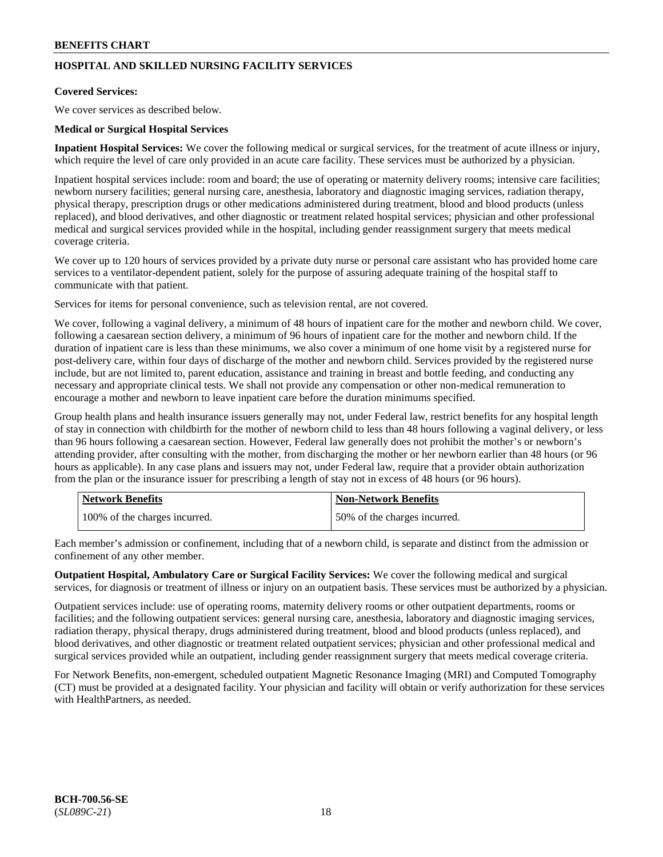## **HOSPITAL AND SKILLED NURSING FACILITY SERVICES**

## **Covered Services:**

We cover services as described below.

#### **Medical or Surgical Hospital Services**

**Inpatient Hospital Services:** We cover the following medical or surgical services, for the treatment of acute illness or injury, which require the level of care only provided in an acute care facility. These services must be authorized by a physician.

Inpatient hospital services include: room and board; the use of operating or maternity delivery rooms; intensive care facilities; newborn nursery facilities; general nursing care, anesthesia, laboratory and diagnostic imaging services, radiation therapy, physical therapy, prescription drugs or other medications administered during treatment, blood and blood products (unless replaced), and blood derivatives, and other diagnostic or treatment related hospital services; physician and other professional medical and surgical services provided while in the hospital, including gender reassignment surgery that meets medical coverage criteria.

We cover up to 120 hours of services provided by a private duty nurse or personal care assistant who has provided home care services to a ventilator-dependent patient, solely for the purpose of assuring adequate training of the hospital staff to communicate with that patient.

Services for items for personal convenience, such as television rental, are not covered.

We cover, following a vaginal delivery, a minimum of 48 hours of inpatient care for the mother and newborn child. We cover, following a caesarean section delivery, a minimum of 96 hours of inpatient care for the mother and newborn child. If the duration of inpatient care is less than these minimums, we also cover a minimum of one home visit by a registered nurse for post-delivery care, within four days of discharge of the mother and newborn child. Services provided by the registered nurse include, but are not limited to, parent education, assistance and training in breast and bottle feeding, and conducting any necessary and appropriate clinical tests. We shall not provide any compensation or other non-medical remuneration to encourage a mother and newborn to leave inpatient care before the duration minimums specified.

Group health plans and health insurance issuers generally may not, under Federal law, restrict benefits for any hospital length of stay in connection with childbirth for the mother of newborn child to less than 48 hours following a vaginal delivery, or less than 96 hours following a caesarean section. However, Federal law generally does not prohibit the mother's or newborn's attending provider, after consulting with the mother, from discharging the mother or her newborn earlier than 48 hours (or 96 hours as applicable). In any case plans and issuers may not, under Federal law, require that a provider obtain authorization from the plan or the insurance issuer for prescribing a length of stay not in excess of 48 hours (or 96 hours).

| <b>Network Benefits</b>       | Non-Network Benefits         |
|-------------------------------|------------------------------|
| 100% of the charges incurred. | 50% of the charges incurred. |

Each member's admission or confinement, including that of a newborn child, is separate and distinct from the admission or confinement of any other member.

**Outpatient Hospital, Ambulatory Care or Surgical Facility Services:** We cover the following medical and surgical services, for diagnosis or treatment of illness or injury on an outpatient basis. These services must be authorized by a physician.

Outpatient services include: use of operating rooms, maternity delivery rooms or other outpatient departments, rooms or facilities; and the following outpatient services: general nursing care, anesthesia, laboratory and diagnostic imaging services, radiation therapy, physical therapy, drugs administered during treatment, blood and blood products (unless replaced), and blood derivatives, and other diagnostic or treatment related outpatient services; physician and other professional medical and surgical services provided while an outpatient, including gender reassignment surgery that meets medical coverage criteria.

For Network Benefits, non-emergent, scheduled outpatient Magnetic Resonance Imaging (MRI) and Computed Tomography (CT) must be provided at a designated facility. Your physician and facility will obtain or verify authorization for these services with HealthPartners, as needed.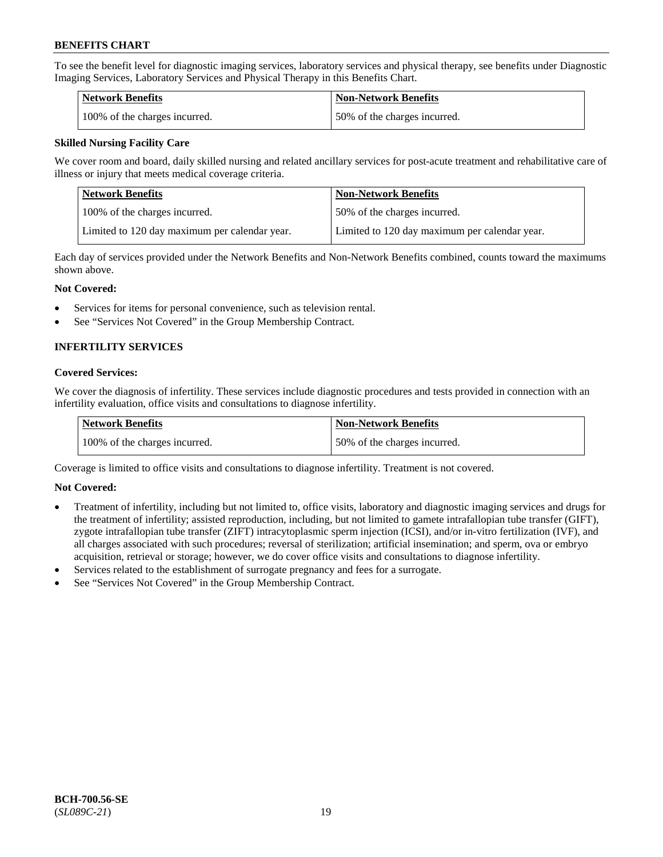To see the benefit level for diagnostic imaging services, laboratory services and physical therapy, see benefits under Diagnostic Imaging Services, Laboratory Services and Physical Therapy in this Benefits Chart.

| <b>Network Benefits</b>       | Non-Network Benefits         |
|-------------------------------|------------------------------|
| 100% of the charges incurred. | 50% of the charges incurred. |

## **Skilled Nursing Facility Care**

We cover room and board, daily skilled nursing and related ancillary services for post-acute treatment and rehabilitative care of illness or injury that meets medical coverage criteria.

| Network Benefits                              | <b>Non-Network Benefits</b>                   |
|-----------------------------------------------|-----------------------------------------------|
| 100\% of the charges incurred.                | 50% of the charges incurred.                  |
| Limited to 120 day maximum per calendar year. | Limited to 120 day maximum per calendar year. |

Each day of services provided under the Network Benefits and Non-Network Benefits combined, counts toward the maximums shown above.

#### **Not Covered:**

- Services for items for personal convenience, such as television rental.
- See "Services Not Covered" in the Group Membership Contract.

## **INFERTILITY SERVICES**

#### **Covered Services:**

We cover the diagnosis of infertility. These services include diagnostic procedures and tests provided in connection with an infertility evaluation, office visits and consultations to diagnose infertility.

| <b>Network Benefits</b>       | <b>Non-Network Benefits</b>  |
|-------------------------------|------------------------------|
| 100% of the charges incurred. | 50% of the charges incurred. |

Coverage is limited to office visits and consultations to diagnose infertility. Treatment is not covered.

## **Not Covered:**

- Treatment of infertility, including but not limited to, office visits, laboratory and diagnostic imaging services and drugs for the treatment of infertility; assisted reproduction, including, but not limited to gamete intrafallopian tube transfer (GIFT), zygote intrafallopian tube transfer (ZIFT) intracytoplasmic sperm injection (ICSI), and/or in-vitro fertilization (IVF), and all charges associated with such procedures; reversal of sterilization; artificial insemination; and sperm, ova or embryo acquisition, retrieval or storage; however, we do cover office visits and consultations to diagnose infertility.
- Services related to the establishment of surrogate pregnancy and fees for a surrogate.
- See "Services Not Covered" in the Group Membership Contract.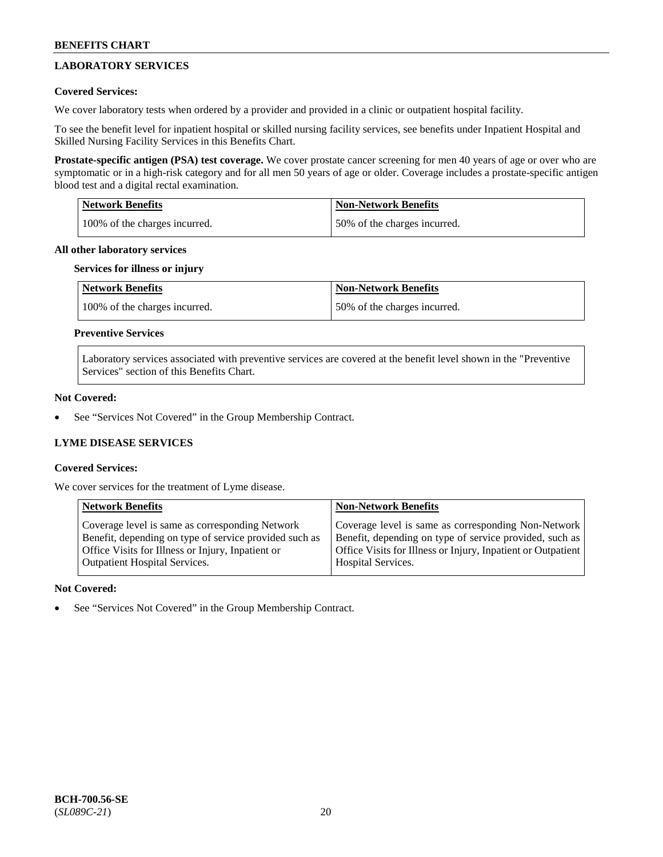## **LABORATORY SERVICES**

## **Covered Services:**

We cover laboratory tests when ordered by a provider and provided in a clinic or outpatient hospital facility.

To see the benefit level for inpatient hospital or skilled nursing facility services, see benefits under Inpatient Hospital and Skilled Nursing Facility Services in this Benefits Chart.

**Prostate-specific antigen (PSA) test coverage.** We cover prostate cancer screening for men 40 years of age or over who are symptomatic or in a high-risk category and for all men 50 years of age or older. Coverage includes a prostate-specific antigen blood test and a digital rectal examination.

| <b>Network Benefits</b>       | <b>Non-Network Benefits</b>  |
|-------------------------------|------------------------------|
| 100% of the charges incurred. | 50% of the charges incurred. |

#### **All other laboratory services**

#### **Services for illness or injury**

| <b>Network Benefits</b>       | <b>Non-Network Benefits</b>  |
|-------------------------------|------------------------------|
| 100% of the charges incurred. | 50% of the charges incurred. |

## **Preventive Services**

Laboratory services associated with preventive services are covered at the benefit level shown in the "Preventive Services" section of this Benefits Chart.

## **Not Covered:**

See "Services Not Covered" in the Group Membership Contract.

## **LYME DISEASE SERVICES**

## **Covered Services:**

We cover services for the treatment of Lyme disease.

| <b>Network Benefits</b>                                | <b>Non-Network Benefits</b>                                  |
|--------------------------------------------------------|--------------------------------------------------------------|
| Coverage level is same as corresponding Network        | Coverage level is same as corresponding Non-Network          |
| Benefit, depending on type of service provided such as | Benefit, depending on type of service provided, such as      |
| Office Visits for Illness or Injury, Inpatient or      | Office Visits for Illness or Injury, Inpatient or Outpatient |
| <b>Outpatient Hospital Services.</b>                   | Hospital Services.                                           |

## **Not Covered:**

See "Services Not Covered" in the Group Membership Contract.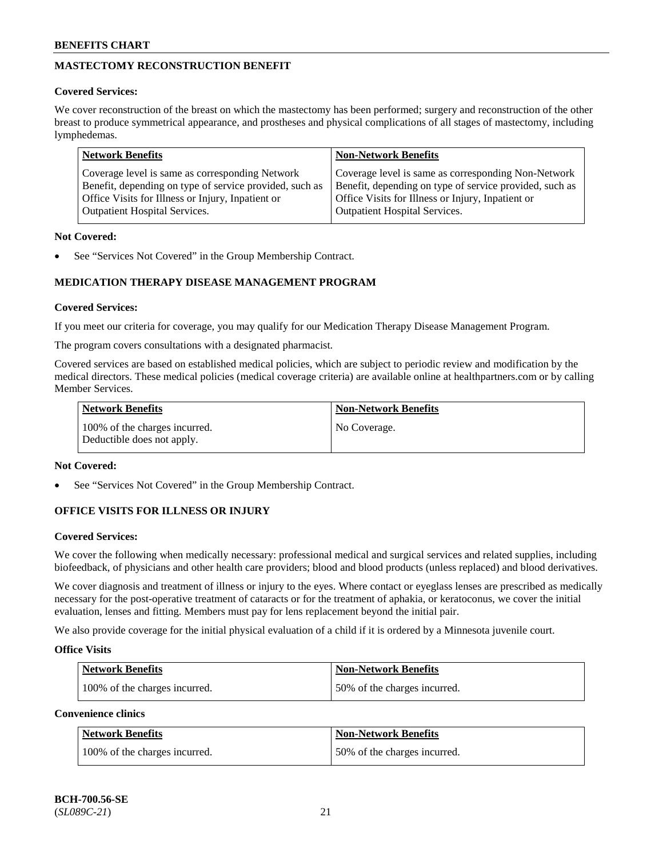## **MASTECTOMY RECONSTRUCTION BENEFIT**

## **Covered Services:**

We cover reconstruction of the breast on which the mastectomy has been performed; surgery and reconstruction of the other breast to produce symmetrical appearance, and prostheses and physical complications of all stages of mastectomy, including lymphedemas.

| <b>Network Benefits</b>                                 | <b>Non-Network Benefits</b>                             |
|---------------------------------------------------------|---------------------------------------------------------|
| Coverage level is same as corresponding Network         | Coverage level is same as corresponding Non-Network     |
| Benefit, depending on type of service provided, such as | Benefit, depending on type of service provided, such as |
| Office Visits for Illness or Injury, Inpatient or       | Office Visits for Illness or Injury, Inpatient or       |
| <b>Outpatient Hospital Services.</b>                    | <b>Outpatient Hospital Services.</b>                    |

## **Not Covered:**

See "Services Not Covered" in the Group Membership Contract.

## **MEDICATION THERAPY DISEASE MANAGEMENT PROGRAM**

## **Covered Services:**

If you meet our criteria for coverage, you may qualify for our Medication Therapy Disease Management Program.

The program covers consultations with a designated pharmacist.

Covered services are based on established medical policies, which are subject to periodic review and modification by the medical directors. These medical policies (medical coverage criteria) are available online at [healthpartners.com](https://www.healthpartners.com/hp/index.html) or by calling Member Services.

| Network Benefits                                            | <b>Non-Network Benefits</b> |
|-------------------------------------------------------------|-----------------------------|
| 100% of the charges incurred.<br>Deductible does not apply. | No Coverage.                |

## **Not Covered:**

See "Services Not Covered" in the Group Membership Contract.

## **OFFICE VISITS FOR ILLNESS OR INJURY**

## **Covered Services:**

We cover the following when medically necessary: professional medical and surgical services and related supplies, including biofeedback, of physicians and other health care providers; blood and blood products (unless replaced) and blood derivatives.

We cover diagnosis and treatment of illness or injury to the eyes. Where contact or eyeglass lenses are prescribed as medically necessary for the post-operative treatment of cataracts or for the treatment of aphakia, or keratoconus, we cover the initial evaluation, lenses and fitting. Members must pay for lens replacement beyond the initial pair.

We also provide coverage for the initial physical evaluation of a child if it is ordered by a Minnesota juvenile court.

## **Office Visits**

| <b>Network Benefits</b>       | <b>Non-Network Benefits</b>  |
|-------------------------------|------------------------------|
| 100% of the charges incurred. | 50% of the charges incurred. |

**Convenience clinics**

| Network Benefits              | <b>Non-Network Benefits</b>  |
|-------------------------------|------------------------------|
| 100% of the charges incurred. | 50% of the charges incurred. |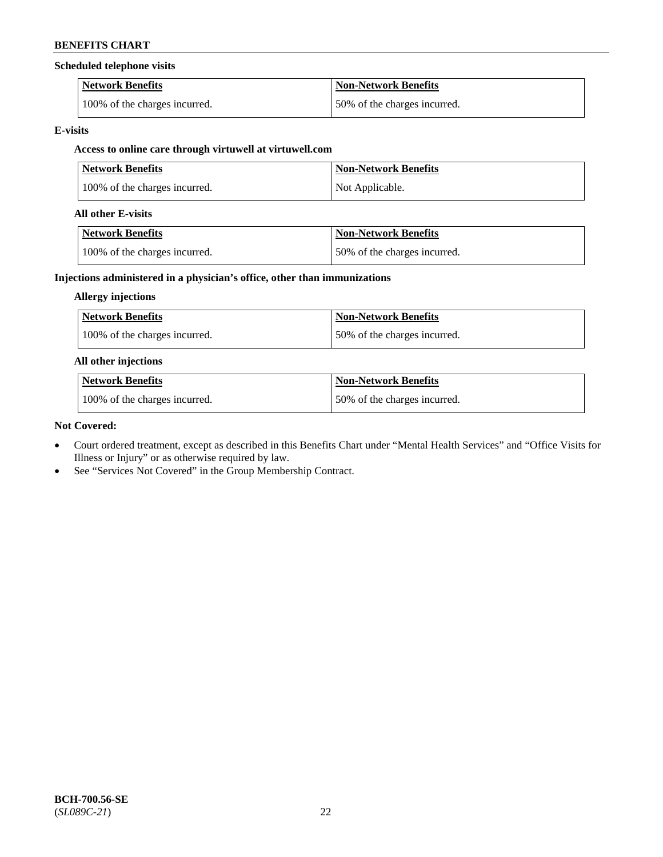## **Scheduled telephone visits**

| <b>Network Benefits</b>       | <b>Non-Network Benefits</b>  |
|-------------------------------|------------------------------|
| 100% of the charges incurred. | 50% of the charges incurred. |

## **E-visits**

## **Access to online care through virtuwell at [virtuwell.com](https://www.virtuwell.com/)**

| <b>Network Benefits</b>       | <b>Non-Network Benefits</b> |
|-------------------------------|-----------------------------|
| 100% of the charges incurred. | Not Applicable.             |

## **All other E-visits**

| Network Benefits              | <b>Non-Network Benefits</b>  |
|-------------------------------|------------------------------|
| 100% of the charges incurred. | 50% of the charges incurred. |

## **Injections administered in a physician's office, other than immunizations**

## **Allergy injections**

| Network Benefits              | Non-Network Benefits         |
|-------------------------------|------------------------------|
| 100% of the charges incurred. | 50% of the charges incurred. |

## **All other injections**

| <b>Network Benefits</b>       | <b>Non-Network Benefits</b>  |
|-------------------------------|------------------------------|
| 100% of the charges incurred. | 50% of the charges incurred. |

## **Not Covered:**

- Court ordered treatment, except as described in this Benefits Chart under "Mental Health Services" and "Office Visits for Illness or Injury" or as otherwise required by law.
- See "Services Not Covered" in the Group Membership Contract.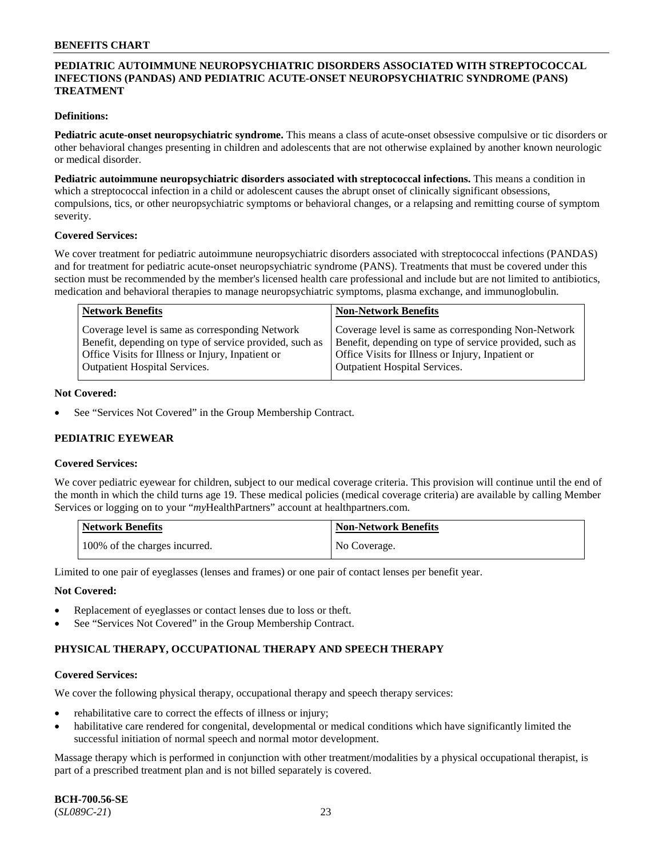## **PEDIATRIC AUTOIMMUNE NEUROPSYCHIATRIC DISORDERS ASSOCIATED WITH STREPTOCOCCAL INFECTIONS (PANDAS) AND PEDIATRIC ACUTE-ONSET NEUROPSYCHIATRIC SYNDROME (PANS) TREATMENT**

#### **Definitions:**

**Pediatric acute-onset neuropsychiatric syndrome.** This means a class of acute-onset obsessive compulsive or tic disorders or other behavioral changes presenting in children and adolescents that are not otherwise explained by another known neurologic or medical disorder.

**Pediatric autoimmune neuropsychiatric disorders associated with streptococcal infections.** This means a condition in which a streptococcal infection in a child or adolescent causes the abrupt onset of clinically significant obsessions, compulsions, tics, or other neuropsychiatric symptoms or behavioral changes, or a relapsing and remitting course of symptom severity.

#### **Covered Services:**

We cover treatment for pediatric autoimmune neuropsychiatric disorders associated with streptococcal infections (PANDAS) and for treatment for pediatric acute-onset neuropsychiatric syndrome (PANS). Treatments that must be covered under this section must be recommended by the member's licensed health care professional and include but are not limited to antibiotics, medication and behavioral therapies to manage neuropsychiatric symptoms, plasma exchange, and immunoglobulin.

| <b>Network Benefits</b>                                 | <b>Non-Network Benefits</b>                             |
|---------------------------------------------------------|---------------------------------------------------------|
| Coverage level is same as corresponding Network         | Coverage level is same as corresponding Non-Network     |
| Benefit, depending on type of service provided, such as | Benefit, depending on type of service provided, such as |
| Office Visits for Illness or Injury, Inpatient or       | Office Visits for Illness or Injury, Inpatient or       |
| <b>Outpatient Hospital Services.</b>                    | <b>Outpatient Hospital Services.</b>                    |

#### **Not Covered:**

See "Services Not Covered" in the Group Membership Contract.

## **PEDIATRIC EYEWEAR**

#### **Covered Services:**

We cover pediatric eyewear for children, subject to our medical coverage criteria. This provision will continue until the end of the month in which the child turns age 19. These medical policies (medical coverage criteria) are available by calling Member Services or logging on to your "*my*HealthPartners" account at [healthpartners.com.](https://www.healthpartners.com/hp/index.html)

| Network Benefits              | <b>Non-Network Benefits</b> |
|-------------------------------|-----------------------------|
| 100% of the charges incurred. | No Coverage.                |

Limited to one pair of eyeglasses (lenses and frames) or one pair of contact lenses per benefit year.

#### **Not Covered:**

- Replacement of eyeglasses or contact lenses due to loss or theft.
- See "Services Not Covered" in the Group Membership Contract.

## **PHYSICAL THERAPY, OCCUPATIONAL THERAPY AND SPEECH THERAPY**

#### **Covered Services:**

We cover the following physical therapy, occupational therapy and speech therapy services:

- rehabilitative care to correct the effects of illness or injury;
- habilitative care rendered for congenital, developmental or medical conditions which have significantly limited the successful initiation of normal speech and normal motor development.

Massage therapy which is performed in conjunction with other treatment/modalities by a physical occupational therapist, is part of a prescribed treatment plan and is not billed separately is covered.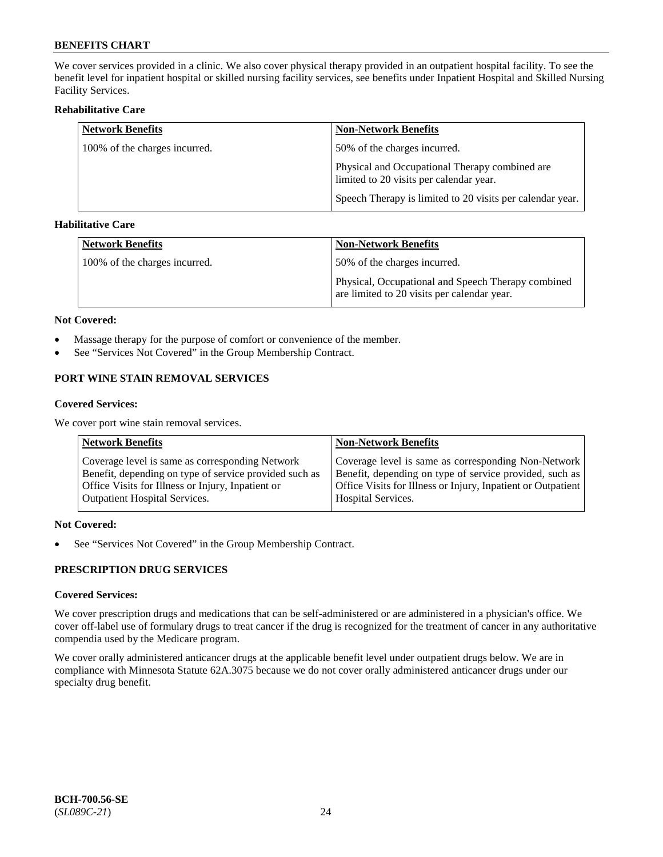We cover services provided in a clinic. We also cover physical therapy provided in an outpatient hospital facility. To see the benefit level for inpatient hospital or skilled nursing facility services, see benefits under Inpatient Hospital and Skilled Nursing Facility Services.

## **Rehabilitative Care**

| <b>Network Benefits</b>       | <b>Non-Network Benefits</b>                                                               |
|-------------------------------|-------------------------------------------------------------------------------------------|
| 100% of the charges incurred. | 50% of the charges incurred.                                                              |
|                               | Physical and Occupational Therapy combined are<br>limited to 20 visits per calendar year. |
|                               | Speech Therapy is limited to 20 visits per calendar year.                                 |

## **Habilitative Care**

| <b>Network Benefits</b>       | <b>Non-Network Benefits</b>                                                                       |
|-------------------------------|---------------------------------------------------------------------------------------------------|
| 100% of the charges incurred. | 50% of the charges incurred.                                                                      |
|                               | Physical, Occupational and Speech Therapy combined<br>are limited to 20 visits per calendar year. |

#### **Not Covered:**

- Massage therapy for the purpose of comfort or convenience of the member.
- See "Services Not Covered" in the Group Membership Contract.

## **PORT WINE STAIN REMOVAL SERVICES**

#### **Covered Services:**

We cover port wine stain removal services.

| <b>Network Benefits</b>                                | <b>Non-Network Benefits</b>                                  |
|--------------------------------------------------------|--------------------------------------------------------------|
| Coverage level is same as corresponding Network        | Coverage level is same as corresponding Non-Network          |
| Benefit, depending on type of service provided such as | Benefit, depending on type of service provided, such as      |
| Office Visits for Illness or Injury, Inpatient or      | Office Visits for Illness or Injury, Inpatient or Outpatient |
| <b>Outpatient Hospital Services.</b>                   | <b>Hospital Services.</b>                                    |

## **Not Covered:**

• See "Services Not Covered" in the Group Membership Contract.

## **PRESCRIPTION DRUG SERVICES**

## **Covered Services:**

We cover prescription drugs and medications that can be self-administered or are administered in a physician's office. We cover off-label use of formulary drugs to treat cancer if the drug is recognized for the treatment of cancer in any authoritative compendia used by the Medicare program.

We cover orally administered anticancer drugs at the applicable benefit level under outpatient drugs below. We are in compliance with Minnesota Statute 62A.3075 because we do not cover orally administered anticancer drugs under our specialty drug benefit.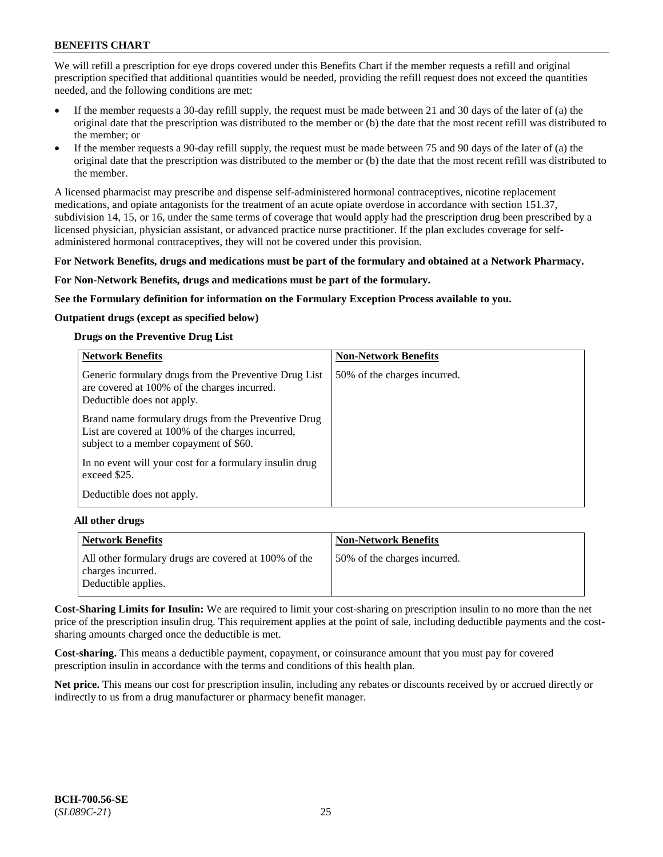We will refill a prescription for eye drops covered under this Benefits Chart if the member requests a refill and original prescription specified that additional quantities would be needed, providing the refill request does not exceed the quantities needed, and the following conditions are met:

- If the member requests a 30-day refill supply, the request must be made between 21 and 30 days of the later of (a) the original date that the prescription was distributed to the member or (b) the date that the most recent refill was distributed to the member; or
- If the member requests a 90-day refill supply, the request must be made between 75 and 90 days of the later of (a) the original date that the prescription was distributed to the member or (b) the date that the most recent refill was distributed to the member.

A licensed pharmacist may prescribe and dispense self-administered hormonal contraceptives, nicotine replacement medications, and opiate antagonists for the treatment of an acute opiate overdose in accordance with section 151.37, subdivision 14, 15, or 16, under the same terms of coverage that would apply had the prescription drug been prescribed by a licensed physician, physician assistant, or advanced practice nurse practitioner. If the plan excludes coverage for selfadministered hormonal contraceptives, they will not be covered under this provision.

#### **For Network Benefits, drugs and medications must be part of the formulary and obtained at a Network Pharmacy.**

#### **For Non-Network Benefits, drugs and medications must be part of the formulary.**

**See the Formulary definition for information on the Formulary Exception Process available to you.**

#### **Outpatient drugs (except as specified below)**

#### **Drugs on the Preventive Drug List**

| <b>Network Benefits</b>                                                                                                                            | <b>Non-Network Benefits</b>  |
|----------------------------------------------------------------------------------------------------------------------------------------------------|------------------------------|
| Generic formulary drugs from the Preventive Drug List<br>are covered at 100% of the charges incurred.<br>Deductible does not apply.                | 50% of the charges incurred. |
| Brand name formulary drugs from the Preventive Drug<br>List are covered at 100% of the charges incurred,<br>subject to a member copayment of \$60. |                              |
| In no event will your cost for a formulary insulin drug<br>exceed \$25.                                                                            |                              |
| Deductible does not apply.                                                                                                                         |                              |

#### **All other drugs**

| <b>Network Benefits</b>                                                   | <b>Non-Network Benefits</b>  |
|---------------------------------------------------------------------------|------------------------------|
| All other formulary drugs are covered at 100% of the<br>charges incurred. | 50% of the charges incurred. |
| Deductible applies.                                                       |                              |

**Cost-Sharing Limits for Insulin:** We are required to limit your cost-sharing on prescription insulin to no more than the net price of the prescription insulin drug. This requirement applies at the point of sale, including deductible payments and the costsharing amounts charged once the deductible is met.

**Cost-sharing.** This means a deductible payment, copayment, or coinsurance amount that you must pay for covered prescription insulin in accordance with the terms and conditions of this health plan.

**Net price.** This means our cost for prescription insulin, including any rebates or discounts received by or accrued directly or indirectly to us from a drug manufacturer or pharmacy benefit manager.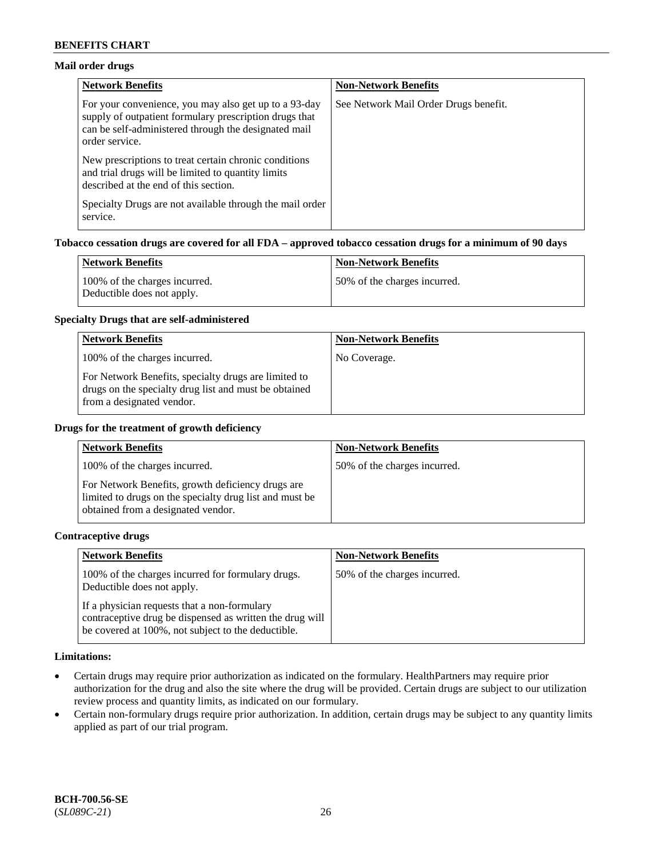## **Mail order drugs**

| <b>Network Benefits</b>                                                                                                                                                                   | <b>Non-Network Benefits</b>           |
|-------------------------------------------------------------------------------------------------------------------------------------------------------------------------------------------|---------------------------------------|
| For your convenience, you may also get up to a 93-day<br>supply of outpatient formulary prescription drugs that<br>can be self-administered through the designated mail<br>order service. | See Network Mail Order Drugs benefit. |
| New prescriptions to treat certain chronic conditions<br>and trial drugs will be limited to quantity limits<br>described at the end of this section.                                      |                                       |
| Specialty Drugs are not available through the mail order<br>service.                                                                                                                      |                                       |

## **Tobacco cessation drugs are covered for all FDA – approved tobacco cessation drugs for a minimum of 90 days**

| Network Benefits                                            | <b>Non-Network Benefits</b>  |
|-------------------------------------------------------------|------------------------------|
| 100% of the charges incurred.<br>Deductible does not apply. | 50% of the charges incurred. |

#### **Specialty Drugs that are self-administered**

| <b>Network Benefits</b>                                                                                                                    | <b>Non-Network Benefits</b> |
|--------------------------------------------------------------------------------------------------------------------------------------------|-----------------------------|
| 100% of the charges incurred.                                                                                                              | No Coverage.                |
| For Network Benefits, specialty drugs are limited to<br>drugs on the specialty drug list and must be obtained<br>from a designated vendor. |                             |

#### **Drugs for the treatment of growth deficiency**

| <b>Network Benefits</b>                                                                                                                            | <b>Non-Network Benefits</b>  |
|----------------------------------------------------------------------------------------------------------------------------------------------------|------------------------------|
| 100% of the charges incurred.                                                                                                                      | 50% of the charges incurred. |
| For Network Benefits, growth deficiency drugs are<br>limited to drugs on the specialty drug list and must be<br>obtained from a designated vendor. |                              |

#### **Contraceptive drugs**

| <b>Network Benefits</b>                                                                                                                                        | <b>Non-Network Benefits</b>  |
|----------------------------------------------------------------------------------------------------------------------------------------------------------------|------------------------------|
| 100% of the charges incurred for formulary drugs.<br>Deductible does not apply.                                                                                | 50% of the charges incurred. |
| If a physician requests that a non-formulary<br>contraceptive drug be dispensed as written the drug will<br>be covered at 100%, not subject to the deductible. |                              |

#### **Limitations:**

- Certain drugs may require prior authorization as indicated on the formulary. HealthPartners may require prior authorization for the drug and also the site where the drug will be provided. Certain drugs are subject to our utilization review process and quantity limits, as indicated on our formulary.
- Certain non-formulary drugs require prior authorization. In addition, certain drugs may be subject to any quantity limits applied as part of our trial program.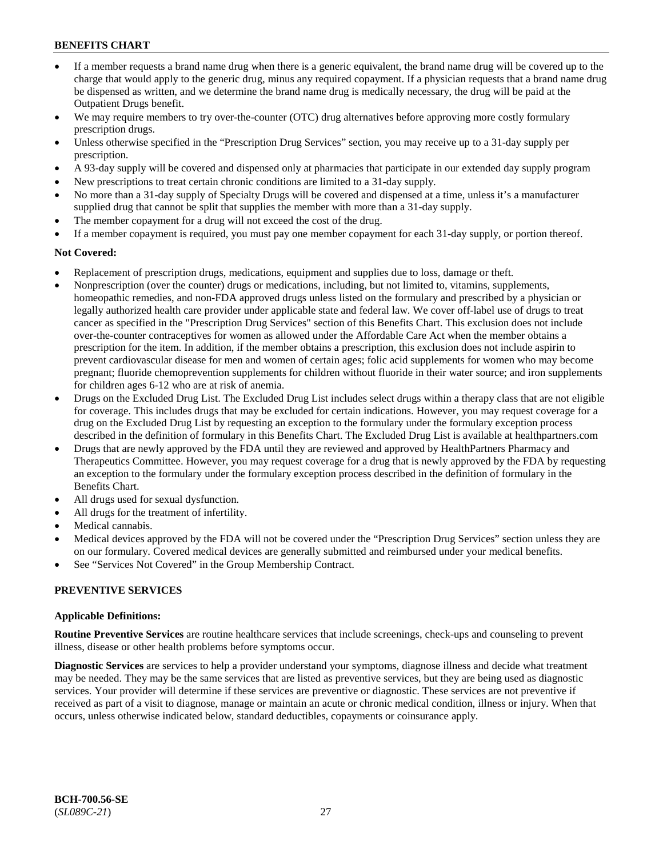- If a member requests a brand name drug when there is a generic equivalent, the brand name drug will be covered up to the charge that would apply to the generic drug, minus any required copayment. If a physician requests that a brand name drug be dispensed as written, and we determine the brand name drug is medically necessary, the drug will be paid at the Outpatient Drugs benefit.
- We may require members to try over-the-counter (OTC) drug alternatives before approving more costly formulary prescription drugs.
- Unless otherwise specified in the "Prescription Drug Services" section, you may receive up to a 31-day supply per prescription.
- A 93-day supply will be covered and dispensed only at pharmacies that participate in our extended day supply program
- New prescriptions to treat certain chronic conditions are limited to a 31-day supply.
- No more than a 31-day supply of Specialty Drugs will be covered and dispensed at a time, unless it's a manufacturer supplied drug that cannot be split that supplies the member with more than a 31-day supply.
- The member copayment for a drug will not exceed the cost of the drug.
- If a member copayment is required, you must pay one member copayment for each 31-day supply, or portion thereof.

#### **Not Covered:**

- Replacement of prescription drugs, medications, equipment and supplies due to loss, damage or theft.
- Nonprescription (over the counter) drugs or medications, including, but not limited to, vitamins, supplements, homeopathic remedies, and non-FDA approved drugs unless listed on the formulary and prescribed by a physician or legally authorized health care provider under applicable state and federal law. We cover off-label use of drugs to treat cancer as specified in the "Prescription Drug Services" section of this Benefits Chart. This exclusion does not include over-the-counter contraceptives for women as allowed under the Affordable Care Act when the member obtains a prescription for the item. In addition, if the member obtains a prescription, this exclusion does not include aspirin to prevent cardiovascular disease for men and women of certain ages; folic acid supplements for women who may become pregnant; fluoride chemoprevention supplements for children without fluoride in their water source; and iron supplements for children ages 6-12 who are at risk of anemia.
- Drugs on the Excluded Drug List. The Excluded Drug List includes select drugs within a therapy class that are not eligible for coverage. This includes drugs that may be excluded for certain indications. However, you may request coverage for a drug on the Excluded Drug List by requesting an exception to the formulary under the formulary exception process described in the definition of formulary in this Benefits Chart. The Excluded Drug List is available at [healthpartners.com](http://www.healthpartners.com/)
- Drugs that are newly approved by the FDA until they are reviewed and approved by HealthPartners Pharmacy and Therapeutics Committee. However, you may request coverage for a drug that is newly approved by the FDA by requesting an exception to the formulary under the formulary exception process described in the definition of formulary in the Benefits Chart.
- All drugs used for sexual dysfunction.
- All drugs for the treatment of infertility.
- Medical cannabis.
- Medical devices approved by the FDA will not be covered under the "Prescription Drug Services" section unless they are on our formulary. Covered medical devices are generally submitted and reimbursed under your medical benefits.
- See "Services Not Covered" in the Group Membership Contract.

#### **PREVENTIVE SERVICES**

#### **Applicable Definitions:**

**Routine Preventive Services** are routine healthcare services that include screenings, check-ups and counseling to prevent illness, disease or other health problems before symptoms occur.

**Diagnostic Services** are services to help a provider understand your symptoms, diagnose illness and decide what treatment may be needed. They may be the same services that are listed as preventive services, but they are being used as diagnostic services. Your provider will determine if these services are preventive or diagnostic. These services are not preventive if received as part of a visit to diagnose, manage or maintain an acute or chronic medical condition, illness or injury. When that occurs, unless otherwise indicated below, standard deductibles, copayments or coinsurance apply.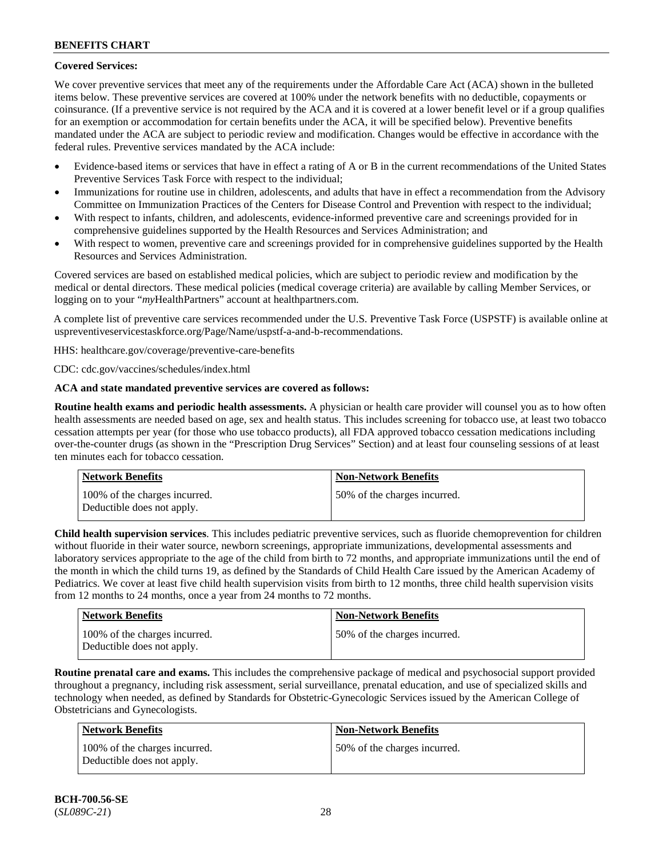## **Covered Services:**

We cover preventive services that meet any of the requirements under the Affordable Care Act (ACA) shown in the bulleted items below. These preventive services are covered at 100% under the network benefits with no deductible, copayments or coinsurance. (If a preventive service is not required by the ACA and it is covered at a lower benefit level or if a group qualifies for an exemption or accommodation for certain benefits under the ACA, it will be specified below). Preventive benefits mandated under the ACA are subject to periodic review and modification. Changes would be effective in accordance with the federal rules. Preventive services mandated by the ACA include:

- Evidence-based items or services that have in effect a rating of A or B in the current recommendations of the United States Preventive Services Task Force with respect to the individual;
- Immunizations for routine use in children, adolescents, and adults that have in effect a recommendation from the Advisory Committee on Immunization Practices of the Centers for Disease Control and Prevention with respect to the individual;
- With respect to infants, children, and adolescents, evidence-informed preventive care and screenings provided for in comprehensive guidelines supported by the Health Resources and Services Administration; and
- With respect to women, preventive care and screenings provided for in comprehensive guidelines supported by the Health Resources and Services Administration.

Covered services are based on established medical policies, which are subject to periodic review and modification by the medical or dental directors. These medical policies (medical coverage criteria) are available by calling Member Services, or logging on to your "*my*HealthPartners" account at [healthpartners.com.](http://www.healthpartners.com/)

A complete list of preventive care services recommended under the U.S. Preventive Task Force (USPSTF) is available online at [uspreventiveservicestaskforce.org/Page/Name/uspstf-a-and-b-recommendations.](https://www.uspreventiveservicestaskforce.org/Page/Name/uspstf-a-and-b-recommendations-by-date/)

HHS: [healthcare.gov/coverage/preventive-care-benefits](https://www.healthcare.gov/coverage/preventive-care-benefits/)

CDC: [cdc.gov/vaccines/schedules/index.html](https://www.cdc.gov/vaccines/schedules/index.html)

## **ACA and state mandated preventive services are covered as follows:**

**Routine health exams and periodic health assessments.** A physician or health care provider will counsel you as to how often health assessments are needed based on age, sex and health status. This includes screening for tobacco use, at least two tobacco cessation attempts per year (for those who use tobacco products), all FDA approved tobacco cessation medications including over-the-counter drugs (as shown in the "Prescription Drug Services" Section) and at least four counseling sessions of at least ten minutes each for tobacco cessation.

| Network Benefits                                            | <b>Non-Network Benefits</b>  |
|-------------------------------------------------------------|------------------------------|
| 100% of the charges incurred.<br>Deductible does not apply. | 50% of the charges incurred. |

**Child health supervision services**. This includes pediatric preventive services, such as fluoride chemoprevention for children without fluoride in their water source, newborn screenings, appropriate immunizations, developmental assessments and laboratory services appropriate to the age of the child from birth to 72 months, and appropriate immunizations until the end of the month in which the child turns 19, as defined by the Standards of Child Health Care issued by the American Academy of Pediatrics. We cover at least five child health supervision visits from birth to 12 months, three child health supervision visits from 12 months to 24 months, once a year from 24 months to 72 months.

| <b>Network Benefits</b>                                     | <b>Non-Network Benefits</b>  |
|-------------------------------------------------------------|------------------------------|
| 100% of the charges incurred.<br>Deductible does not apply. | 50% of the charges incurred. |

**Routine prenatal care and exams.** This includes the comprehensive package of medical and psychosocial support provided throughout a pregnancy, including risk assessment, serial surveillance, prenatal education, and use of specialized skills and technology when needed, as defined by Standards for Obstetric-Gynecologic Services issued by the American College of Obstetricians and Gynecologists.

| Network Benefits                                            | <b>Non-Network Benefits</b>  |
|-------------------------------------------------------------|------------------------------|
| 100% of the charges incurred.<br>Deductible does not apply. | 50% of the charges incurred. |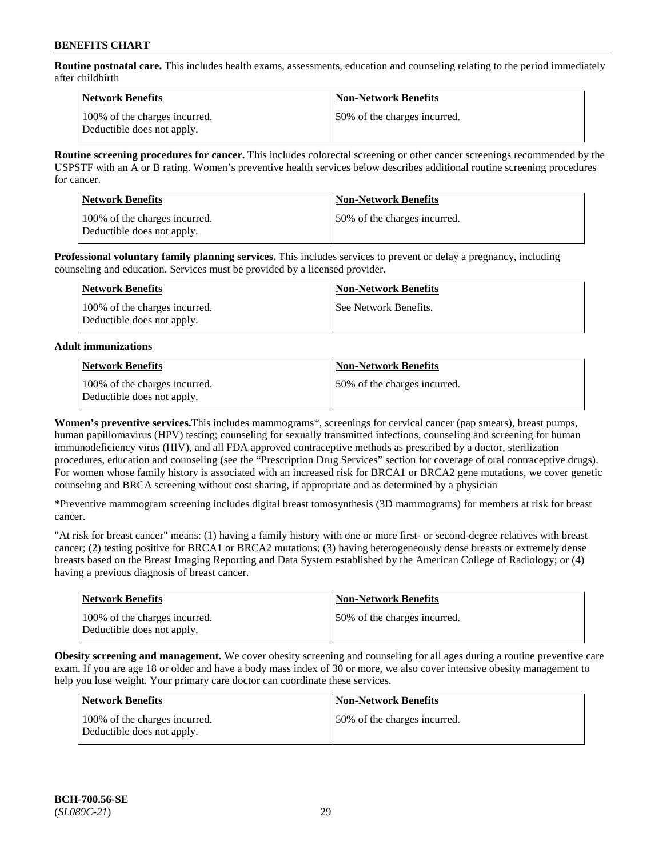**Routine postnatal care.** This includes health exams, assessments, education and counseling relating to the period immediately after childbirth

| Network Benefits                                            | <b>Non-Network Benefits</b>  |
|-------------------------------------------------------------|------------------------------|
| 100% of the charges incurred.<br>Deductible does not apply. | 50% of the charges incurred. |

**Routine screening procedures for cancer.** This includes colorectal screening or other cancer screenings recommended by the USPSTF with an A or B rating. Women's preventive health services below describes additional routine screening procedures for cancer.

| <b>Network Benefits</b>                                     | <b>Non-Network Benefits</b>  |
|-------------------------------------------------------------|------------------------------|
| 100% of the charges incurred.<br>Deductible does not apply. | 50% of the charges incurred. |

**Professional voluntary family planning services.** This includes services to prevent or delay a pregnancy, including counseling and education. Services must be provided by a licensed provider.

| Network Benefits                                            | <b>Non-Network Benefits</b> |
|-------------------------------------------------------------|-----------------------------|
| 100% of the charges incurred.<br>Deductible does not apply. | See Network Benefits.       |

## **Adult immunizations**

| <b>Network Benefits</b>                                     | <b>Non-Network Benefits</b>  |
|-------------------------------------------------------------|------------------------------|
| 100% of the charges incurred.<br>Deductible does not apply. | 50% of the charges incurred. |

**Women's preventive services.**This includes mammograms\*, screenings for cervical cancer (pap smears), breast pumps, human papillomavirus (HPV) testing; counseling for sexually transmitted infections, counseling and screening for human immunodeficiency virus (HIV), and all FDA approved contraceptive methods as prescribed by a doctor, sterilization procedures, education and counseling (see the "Prescription Drug Services" section for coverage of oral contraceptive drugs). For women whose family history is associated with an increased risk for BRCA1 or BRCA2 gene mutations, we cover genetic counseling and BRCA screening without cost sharing, if appropriate and as determined by a physician

**\***Preventive mammogram screening includes digital breast tomosynthesis (3D mammograms) for members at risk for breast cancer.

"At risk for breast cancer" means: (1) having a family history with one or more first- or second-degree relatives with breast cancer; (2) testing positive for BRCA1 or BRCA2 mutations; (3) having heterogeneously dense breasts or extremely dense breasts based on the Breast Imaging Reporting and Data System established by the American College of Radiology; or (4) having a previous diagnosis of breast cancer.

| <b>Network Benefits</b>                                     | <b>Non-Network Benefits</b>  |
|-------------------------------------------------------------|------------------------------|
| 100% of the charges incurred.<br>Deductible does not apply. | 50% of the charges incurred. |

**Obesity screening and management.** We cover obesity screening and counseling for all ages during a routine preventive care exam. If you are age 18 or older and have a body mass index of 30 or more, we also cover intensive obesity management to help you lose weight. Your primary care doctor can coordinate these services.

| Network Benefits                                            | <b>Non-Network Benefits</b>  |
|-------------------------------------------------------------|------------------------------|
| 100% of the charges incurred.<br>Deductible does not apply. | 50% of the charges incurred. |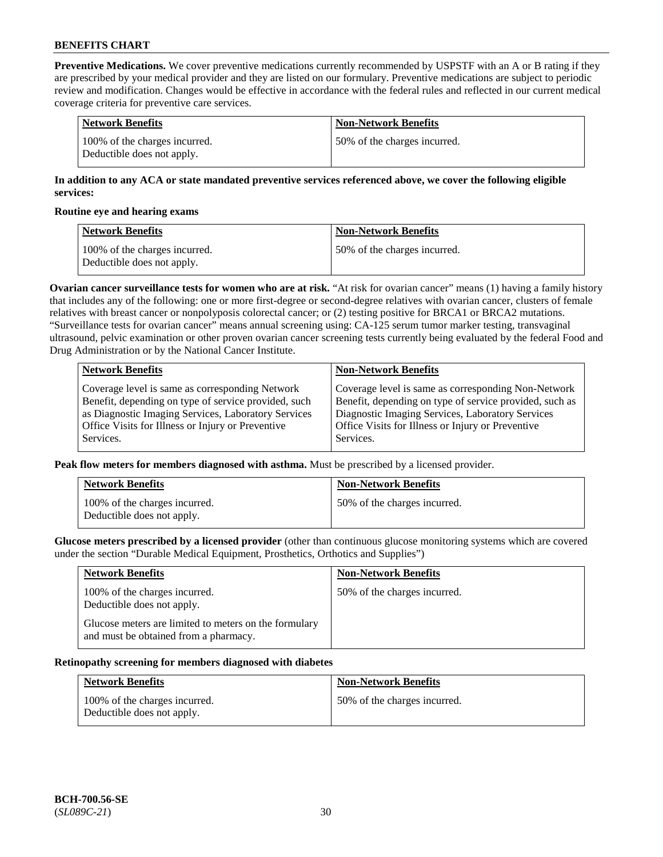**Preventive Medications.** We cover preventive medications currently recommended by USPSTF with an A or B rating if they are prescribed by your medical provider and they are listed on our formulary. Preventive medications are subject to periodic review and modification. Changes would be effective in accordance with the federal rules and reflected in our current medical coverage criteria for preventive care services.

| Network Benefits                                            | <b>Non-Network Benefits</b>  |
|-------------------------------------------------------------|------------------------------|
| 100% of the charges incurred.<br>Deductible does not apply. | 50% of the charges incurred. |

## **In addition to any ACA or state mandated preventive services referenced above, we cover the following eligible services:**

#### **Routine eye and hearing exams**

| <b>Network Benefits</b>                                     | <b>Non-Network Benefits</b>  |
|-------------------------------------------------------------|------------------------------|
| 100% of the charges incurred.<br>Deductible does not apply. | 50% of the charges incurred. |

**Ovarian cancer surveillance tests for women who are at risk.** "At risk for ovarian cancer" means (1) having a family history that includes any of the following: one or more first-degree or second-degree relatives with ovarian cancer, clusters of female relatives with breast cancer or nonpolyposis colorectal cancer; or (2) testing positive for BRCA1 or BRCA2 mutations. "Surveillance tests for ovarian cancer" means annual screening using: CA-125 serum tumor marker testing, transvaginal ultrasound, pelvic examination or other proven ovarian cancer screening tests currently being evaluated by the federal Food and Drug Administration or by the National Cancer Institute.

| <b>Network Benefits</b>                              | <b>Non-Network Benefits</b>                             |
|------------------------------------------------------|---------------------------------------------------------|
| Coverage level is same as corresponding Network      | Coverage level is same as corresponding Non-Network     |
| Benefit, depending on type of service provided, such | Benefit, depending on type of service provided, such as |
| as Diagnostic Imaging Services, Laboratory Services  | Diagnostic Imaging Services, Laboratory Services        |
| Office Visits for Illness or Injury or Preventive    | Office Visits for Illness or Injury or Preventive       |
| Services.                                            | Services.                                               |

**Peak flow meters for members diagnosed with asthma.** Must be prescribed by a licensed provider.

| <b>Network Benefits</b>                                     | <b>Non-Network Benefits</b>  |
|-------------------------------------------------------------|------------------------------|
| 100% of the charges incurred.<br>Deductible does not apply. | 50% of the charges incurred. |

**Glucose meters prescribed by a licensed provider** (other than continuous glucose monitoring systems which are covered under the section "Durable Medical Equipment, Prosthetics, Orthotics and Supplies")

| <b>Network Benefits</b>                                                                        | <b>Non-Network Benefits</b>  |
|------------------------------------------------------------------------------------------------|------------------------------|
| 100% of the charges incurred.<br>Deductible does not apply.                                    | 50% of the charges incurred. |
| Glucose meters are limited to meters on the formulary<br>and must be obtained from a pharmacy. |                              |

#### **Retinopathy screening for members diagnosed with diabetes**

| <b>Network Benefits</b>                                     | <b>Non-Network Benefits</b>  |
|-------------------------------------------------------------|------------------------------|
| 100% of the charges incurred.<br>Deductible does not apply. | 50% of the charges incurred. |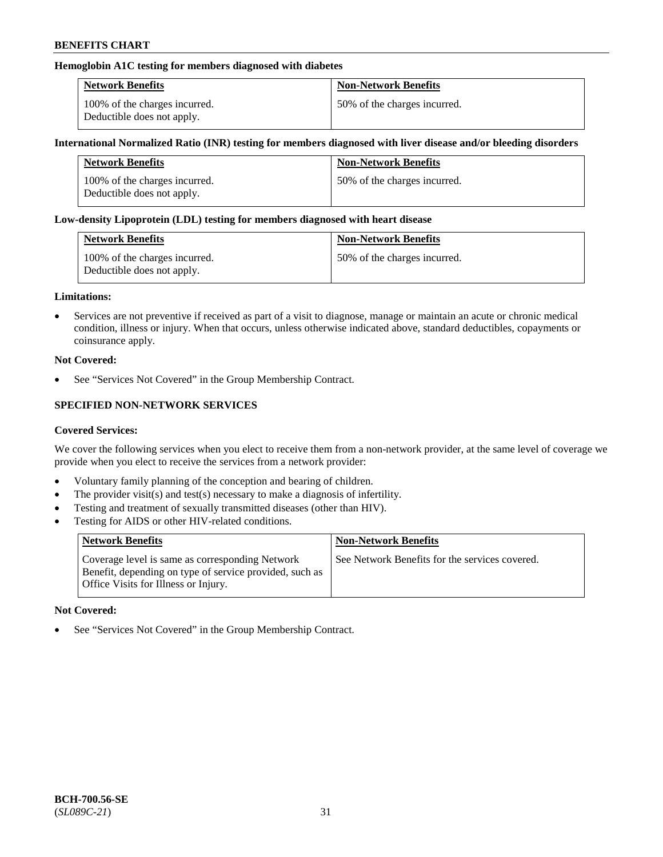## **Hemoglobin A1C testing for members diagnosed with diabetes**

| <b>Network Benefits</b>                                     | <b>Non-Network Benefits</b>  |
|-------------------------------------------------------------|------------------------------|
| 100% of the charges incurred.<br>Deductible does not apply. | 50% of the charges incurred. |

#### **International Normalized Ratio (INR) testing for members diagnosed with liver disease and/or bleeding disorders**

| <b>Network Benefits</b>                                     | <b>Non-Network Benefits</b>  |
|-------------------------------------------------------------|------------------------------|
| 100% of the charges incurred.<br>Deductible does not apply. | 50% of the charges incurred. |

#### **Low-density Lipoprotein (LDL) testing for members diagnosed with heart disease**

| <b>Network Benefits</b>                                     | <b>Non-Network Benefits</b>  |
|-------------------------------------------------------------|------------------------------|
| 100% of the charges incurred.<br>Deductible does not apply. | 50% of the charges incurred. |

#### **Limitations:**

• Services are not preventive if received as part of a visit to diagnose, manage or maintain an acute or chronic medical condition, illness or injury. When that occurs, unless otherwise indicated above, standard deductibles, copayments or coinsurance apply.

#### **Not Covered:**

See "Services Not Covered" in the Group Membership Contract.

## **SPECIFIED NON-NETWORK SERVICES**

#### **Covered Services:**

We cover the following services when you elect to receive them from a non-network provider, at the same level of coverage we provide when you elect to receive the services from a network provider:

- Voluntary family planning of the conception and bearing of children.
- The provider visit(s) and test(s) necessary to make a diagnosis of infertility.
- Testing and treatment of sexually transmitted diseases (other than HIV).
- Testing for AIDS or other HIV-related conditions.

| <b>Network Benefits</b>                                                                                                                            | <b>Non-Network Benefits</b>                    |
|----------------------------------------------------------------------------------------------------------------------------------------------------|------------------------------------------------|
| Coverage level is same as corresponding Network<br>Benefit, depending on type of service provided, such as<br>Office Visits for Illness or Injury. | See Network Benefits for the services covered. |

#### **Not Covered:**

• See "Services Not Covered" in the Group Membership Contract.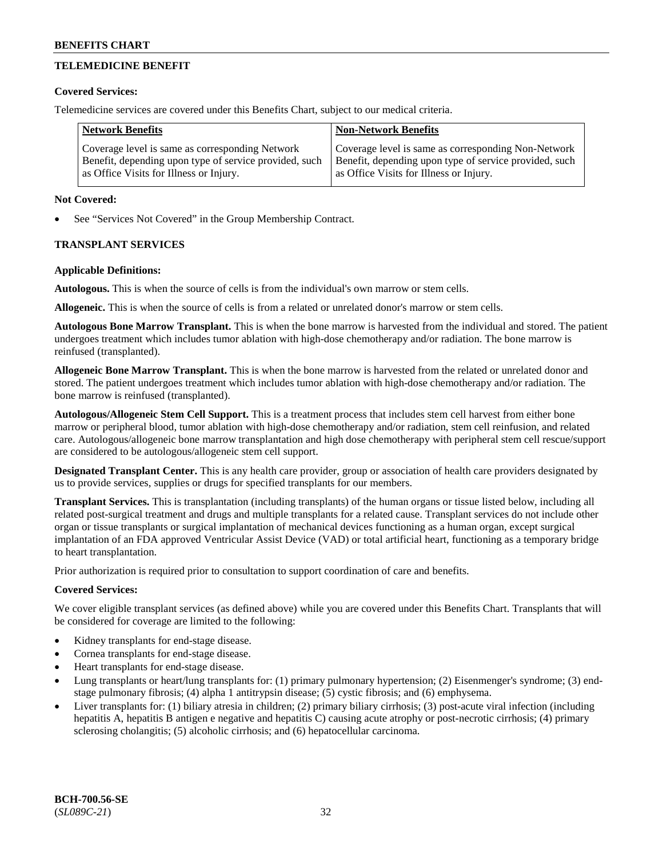## **TELEMEDICINE BENEFIT**

#### **Covered Services:**

Telemedicine services are covered under this Benefits Chart, subject to our medical criteria.

| <b>Network Benefits</b>                                | <b>Non-Network Benefits</b>                            |
|--------------------------------------------------------|--------------------------------------------------------|
| Coverage level is same as corresponding Network        | Coverage level is same as corresponding Non-Network    |
| Benefit, depending upon type of service provided, such | Benefit, depending upon type of service provided, such |
| as Office Visits for Illness or Injury.                | as Office Visits for Illness or Injury.                |

#### **Not Covered:**

See "Services Not Covered" in the Group Membership Contract.

## **TRANSPLANT SERVICES**

#### **Applicable Definitions:**

**Autologous.** This is when the source of cells is from the individual's own marrow or stem cells.

**Allogeneic.** This is when the source of cells is from a related or unrelated donor's marrow or stem cells.

**Autologous Bone Marrow Transplant.** This is when the bone marrow is harvested from the individual and stored. The patient undergoes treatment which includes tumor ablation with high-dose chemotherapy and/or radiation. The bone marrow is reinfused (transplanted).

**Allogeneic Bone Marrow Transplant.** This is when the bone marrow is harvested from the related or unrelated donor and stored. The patient undergoes treatment which includes tumor ablation with high-dose chemotherapy and/or radiation. The bone marrow is reinfused (transplanted).

**Autologous/Allogeneic Stem Cell Support.** This is a treatment process that includes stem cell harvest from either bone marrow or peripheral blood, tumor ablation with high-dose chemotherapy and/or radiation, stem cell reinfusion, and related care. Autologous/allogeneic bone marrow transplantation and high dose chemotherapy with peripheral stem cell rescue/support are considered to be autologous/allogeneic stem cell support.

**Designated Transplant Center.** This is any health care provider, group or association of health care providers designated by us to provide services, supplies or drugs for specified transplants for our members.

**Transplant Services.** This is transplantation (including transplants) of the human organs or tissue listed below, including all related post-surgical treatment and drugs and multiple transplants for a related cause. Transplant services do not include other organ or tissue transplants or surgical implantation of mechanical devices functioning as a human organ, except surgical implantation of an FDA approved Ventricular Assist Device (VAD) or total artificial heart, functioning as a temporary bridge to heart transplantation.

Prior authorization is required prior to consultation to support coordination of care and benefits.

## **Covered Services:**

We cover eligible transplant services (as defined above) while you are covered under this Benefits Chart. Transplants that will be considered for coverage are limited to the following:

- Kidney transplants for end-stage disease.
- Cornea transplants for end-stage disease.
- Heart transplants for end-stage disease.
- Lung transplants or heart/lung transplants for: (1) primary pulmonary hypertension; (2) Eisenmenger's syndrome; (3) endstage pulmonary fibrosis; (4) alpha 1 antitrypsin disease; (5) cystic fibrosis; and (6) emphysema.
- Liver transplants for: (1) biliary atresia in children; (2) primary biliary cirrhosis; (3) post-acute viral infection (including hepatitis A, hepatitis B antigen e negative and hepatitis C) causing acute atrophy or post-necrotic cirrhosis; (4) primary sclerosing cholangitis; (5) alcoholic cirrhosis; and (6) hepatocellular carcinoma.